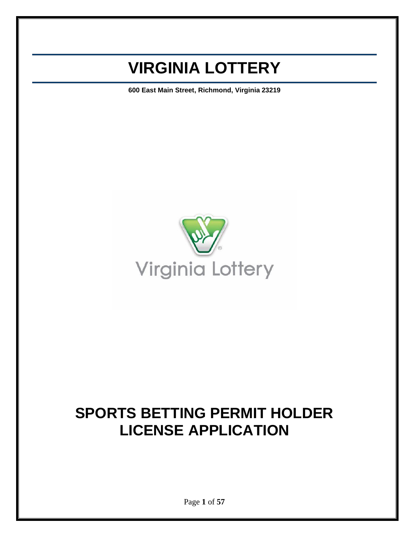### **VIRGINIA LOTTERY**

**600 East Main Street, Richmond, Virginia 23219**



### **SPORTS BETTING PERMIT HOLDER LICENSE APPLICATION**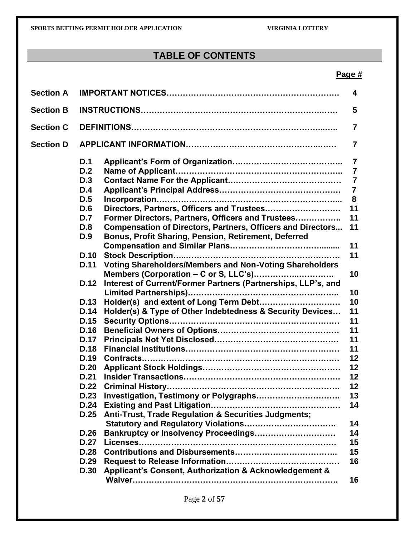### **TABLE OF CONTENTS**

#### **Page #**

| <b>Section A</b> |             |                                                                    | 4              |
|------------------|-------------|--------------------------------------------------------------------|----------------|
| <b>Section B</b> |             |                                                                    | 5              |
| <b>Section C</b> |             |                                                                    | 7              |
| <b>Section D</b> |             |                                                                    | 7              |
|                  | D.1         |                                                                    | 7              |
|                  | D.2         |                                                                    | $\overline{7}$ |
|                  | D.3         |                                                                    | $\overline{7}$ |
|                  | D.4         |                                                                    | $\overline{7}$ |
|                  | D.5         |                                                                    | 8              |
|                  | D.6         | Directors, Partners, Officers and Trustees                         | 11             |
|                  | D.7         | Former Directors, Partners, Officers and Trustees                  | 11             |
|                  | D.8         | <b>Compensation of Directors, Partners, Officers and Directors</b> | 11             |
|                  | D.9         | Bonus, Profit Sharing, Pension, Retirement, Deferred               |                |
|                  |             |                                                                    | 11             |
|                  | <b>D.10</b> |                                                                    | 11             |
|                  | <b>D.11</b> | Voting Shareholders/Members and Non-Voting Shareholders            |                |
|                  |             |                                                                    | 10             |
|                  | D.12        | Interest of Current/Former Partners (Partnerships, LLP's, and      |                |
|                  |             |                                                                    | 10             |
|                  | D.13        |                                                                    | 10             |
|                  | D.14        | Holder(s) & Type of Other Indebtedness & Security Devices          | 11             |
|                  | D.15        |                                                                    | 11             |
|                  | D.16        |                                                                    | 11             |
|                  | <b>D.17</b> |                                                                    | 11             |
|                  | D.18        |                                                                    | 11             |
|                  | D.19        |                                                                    | 12             |
|                  | D.20        |                                                                    | 12             |
|                  | D.21        |                                                                    | 12             |
|                  | D.22        |                                                                    | 12             |
|                  | D.23        | Investigation, Testimony or Polygraphs                             | 13             |
|                  | <b>D.24</b> |                                                                    | 14             |
|                  | D.25        | Anti-Trust, Trade Regulation & Securities Judgments;               |                |
|                  |             |                                                                    | 14             |
|                  | D.26        | Bankruptcy or Insolvency Proceedings                               | 14             |
|                  | <b>D.27</b> |                                                                    | 15             |
|                  | D.28        |                                                                    | 15             |
|                  | D.29        |                                                                    | 16             |
|                  | D.30        | Applicant's Consent, Authorization & Acknowledgement &             |                |
|                  |             |                                                                    | 16             |
|                  |             |                                                                    |                |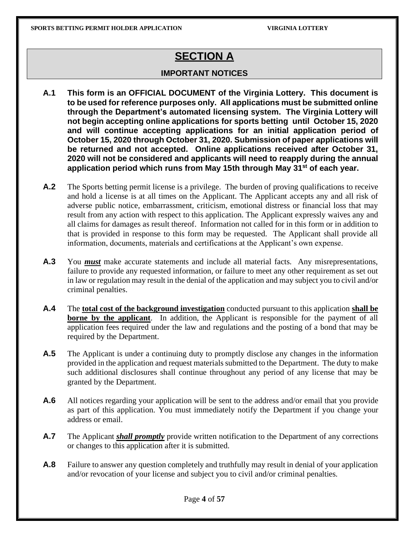### **SECTION A**

#### **IMPORTANT NOTICES**

- **A.1 This form is an OFFICIAL DOCUMENT of the Virginia Lottery. This document is to be used for reference purposes only. All applications must be submitted online through the Department's automated licensing system. The Virginia Lottery will not begin accepting online applications for sports betting until October 15, 2020 and will continue accepting applications for an initial application period of October 15, 2020 through October 31, 2020. Submission of paper applications will be returned and not accepted. Online applications received after October 31, 2020 will not be considered and applicants will need to reapply during the annual application period which runs from May 15th through May 31st of each year.**
- **A.2** The Sports betting permit license is a privilege. The burden of proving qualifications to receive and hold a license is at all times on the Applicant. The Applicant accepts any and all risk of adverse public notice, embarrassment, criticism, emotional distress or financial loss that may result from any action with respect to this application. The Applicant expressly waives any and all claims for damages as result thereof. Information not called for in this form or in addition to that is provided in response to this form may be requested. The Applicant shall provide all information, documents, materials and certifications at the Applicant's own expense.
- **A.3** You *must* make accurate statements and include all material facts. Any misrepresentations, failure to provide any requested information, or failure to meet any other requirement as set out in law or regulation may result in the denial of the application and may subject you to civil and/or criminal penalties.
- **A.4** The **total cost of the background investigation** conducted pursuant to this application **shall be borne by the applicant**. In addition, the Applicant is responsible for the payment of all application fees required under the law and regulations and the posting of a bond that may be required by the Department.
- **A.5** The Applicant is under a continuing duty to promptly disclose any changes in the information provided in the application and request materials submitted to the Department. The duty to make such additional disclosures shall continue throughout any period of any license that may be granted by the Department.
- **A.6** All notices regarding your application will be sent to the address and/or email that you provide as part of this application. You must immediately notify the Department if you change your address or email.
- **A.7** The Applicant *shall promptly* provide written notification to the Department of any corrections or changes to this application after it is submitted.
- **A.8** Failure to answer any question completely and truthfully may result in denial of your application and/or revocation of your license and subject you to civil and/or criminal penalties.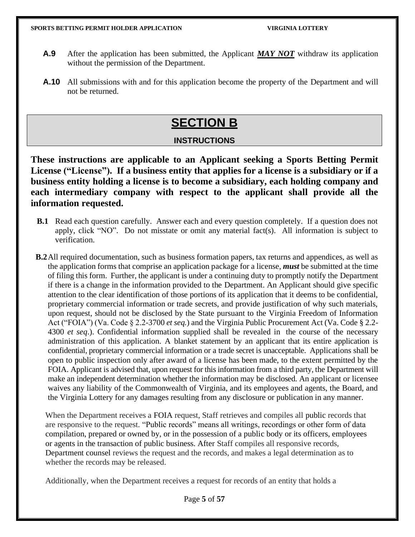- **A.9** After the application has been submitted, the Applicant *MAY NOT* withdraw its application without the permission of the Department.
- **A.10** All submissions with and for this application become the property of the Department and will not be returned.

### **SECTION B**

### **INSTRUCTIONS**

**These instructions are applicable to an Applicant seeking a Sports Betting Permit License ("License"). If a business entity that applies for a license is a subsidiary or if a business entity holding a license is to become a subsidiary, each holding company and each intermediary company with respect to the applicant shall provide all the information requested.**

- **B.1** Read each question carefully. Answer each and every question completely. If a question does not apply, click "NO". Do not misstate or omit any material fact(s). All information is subject to verification.
- **B.2**All required documentation, such as business formation papers, tax returns and appendices, as well as the application forms that comprise an application package for a license, *must* be submitted at the time of filing this form. Further, the applicant is under a continuing duty to promptly notify the Department if there is a change in the information provided to the Department. An Applicant should give specific attention to the clear identification of those portions of its application that it deems to be confidential, proprietary commercial information or trade secrets, and provide justification of why such materials, upon request, should not be disclosed by the State pursuant to the Virginia Freedom of Information Act ("FOIA") (Va. Code § 2.2-3700 *et seq.*) and the Virginia Public Procurement Act (Va. Code § 2.2- 4300 *et seq*.). Confidential information supplied shall be revealed in the course of the necessary administration of this application. A blanket statement by an applicant that its entire application is confidential, proprietary commercial information or a trade secret is unacceptable. Applications shall be open to public inspection only after award of a license has been made, to the extent permitted by the FOIA. Applicant is advised that, upon request for this information from a third party, the Department will make an independent determination whether the information may be disclosed. An applicant or licensee waives any liability of the Commonwealth of Virginia, and its employees and agents, the Board, and the Virginia Lottery for any damages resulting from any disclosure or publication in any manner.

When the Department receives a FOIA request, Staff retrieves and compiles all public records that are responsive to the request. "Public records" means all writings, recordings or other form of data compilation, prepared or owned by, or in the possession of a public body or its officers, employees or agents in the transaction of public business. After Staff compiles all responsive records, Department counsel reviews the request and the records, and makes a legal determination as to whether the records may be released.

Additionally, when the Department receives a request for records of an entity that holds a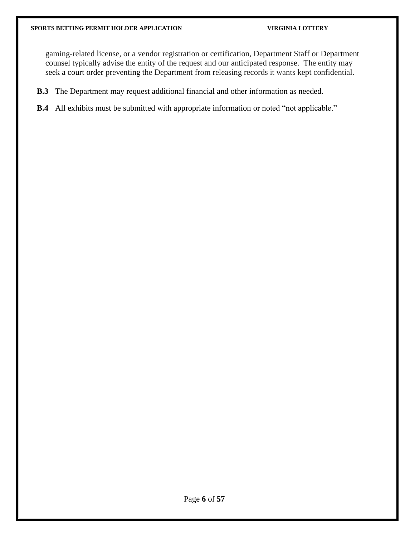gaming-related license, or a vendor registration or certification, Department Staff or Department counsel typically advise the entity of the request and our anticipated response. The entity may seek a court order preventing the Department from releasing records it wants kept confidential.

- **B.3** The Department may request additional financial and other information as needed.
- **B.4** All exhibits must be submitted with appropriate information or noted "not applicable."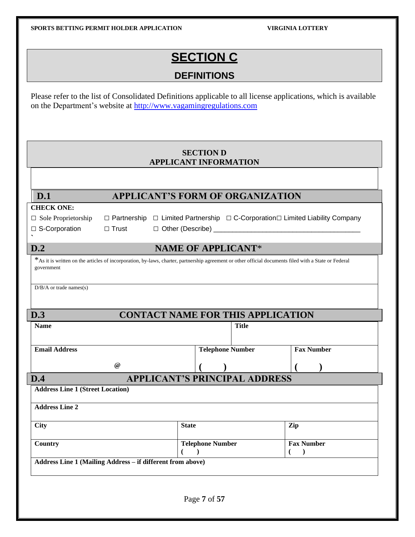### **SECTION C**

### **DEFINITIONS**

Please refer to the list of Consolidated Definitions applicable to all license applications, which is available on the Department's website at [http://www.vagamingregulations.com](https://nam02.safelinks.protection.outlook.com/?url=http%3A%2F%2Fwww.vagamingregulations.com%2F&data=02%7C01%7Cgsmith%40valottery.com%7C226aed3a02f44cae2a6808d858e315ba%7Cdc0676393e4a4aebb2927f1e964e6827%7C0%7C0%7C637357079626436561&sdata=6pisxO5f4XYM%2FwekzGkRqlmbd9GMFUQfSkW9ZiKw9dU%3D&reserved=0)

#### **SECTION D APPLICANT INFORMATION**

| D.1                                     |              | <b>APPLICANT'S FORM OF ORGANIZATION</b>                                                                                                               |                                         |  |
|-----------------------------------------|--------------|-------------------------------------------------------------------------------------------------------------------------------------------------------|-----------------------------------------|--|
| <b>CHECK ONE:</b>                       |              |                                                                                                                                                       |                                         |  |
| $\Box$ Sole Proprietorship              |              | $\Box$ Partnership $\Box$ Limited Partnership $\Box$ C-Corporation $\Box$ Limited Liability Company                                                   |                                         |  |
| □ S-Corporation                         | $\Box$ Trust |                                                                                                                                                       |                                         |  |
| D.2                                     |              | <b>NAME OF APPLICANT*</b>                                                                                                                             |                                         |  |
| government                              |              | *As it is written on the articles of incorporation, by-laws, charter, partnership agreement or other official documents filed with a State or Federal |                                         |  |
| $D/B/A$ or trade names(s)               |              |                                                                                                                                                       |                                         |  |
| D.3                                     |              | <b>CONTACT NAME FOR THIS APPLICATION</b>                                                                                                              |                                         |  |
| <b>Name</b>                             | <b>Title</b> |                                                                                                                                                       |                                         |  |
| <b>Email Address</b>                    |              | <b>Telephone Number</b>                                                                                                                               | <b>Fax Number</b>                       |  |
|                                         | @            |                                                                                                                                                       |                                         |  |
| D.4                                     |              | <b>APPLICANT'S PRINCIPAL ADDRESS</b>                                                                                                                  |                                         |  |
| <b>Address Line 1 (Street Location)</b> |              |                                                                                                                                                       |                                         |  |
| <b>Address Line 2</b>                   |              |                                                                                                                                                       |                                         |  |
| <b>City</b>                             |              | <b>State</b>                                                                                                                                          | Zip                                     |  |
| Country                                 |              | <b>Telephone Number</b><br>€<br>$\lambda$                                                                                                             | <b>Fax Number</b><br>(<br>$\rightarrow$ |  |
|                                         |              |                                                                                                                                                       |                                         |  |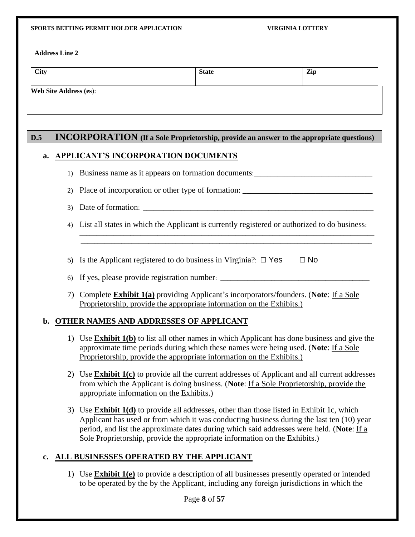| <b>City</b> |                               |                                     | <b>State</b>                                                                                                                                                         | Zip       |
|-------------|-------------------------------|-------------------------------------|----------------------------------------------------------------------------------------------------------------------------------------------------------------------|-----------|
|             | <b>Web Site Address (es):</b> |                                     |                                                                                                                                                                      |           |
| D.5         |                               |                                     | <b>INCORPORATION</b> (If a Sole Proprietorship, provide an answer to the appropriate questions)                                                                      |           |
| a.          |                               | APPLICANT'S INCORPORATION DOCUMENTS |                                                                                                                                                                      |           |
|             | $\left( \right)$              |                                     | Business name as it appears on formation documents:                                                                                                                  |           |
|             | 2)                            |                                     | Place of incorporation or other type of formation:                                                                                                                   |           |
|             | 3)                            |                                     |                                                                                                                                                                      |           |
|             | 4)                            |                                     | List all states in which the Applicant is currently registered or authorized to do business:                                                                         |           |
|             |                               |                                     |                                                                                                                                                                      |           |
|             | 5)                            |                                     | Is the Applicant registered to do business in Virginia?: $\Box$ Yes                                                                                                  | $\Box$ No |
|             | 6)                            |                                     |                                                                                                                                                                      |           |
|             | 7)                            |                                     | Complete <b>Exhibit 1(a)</b> providing Applicant's incorporators/founders. (Note: If a Sole<br>Proprietorship, provide the appropriate information on the Exhibits.) |           |

- 1) Use **Exhibit 1(b)** to list all other names in which Applicant has done business and give the approximate time periods during which these names were being used. (**Note**: If a Sole Proprietorship, provide the appropriate information on the Exhibits.)
- 2) Use **Exhibit 1(c)** to provide all the current addresses of Applicant and all current addresses from which the Applicant is doing business. (**Note**: If a Sole Proprietorship, provide the appropriate information on the Exhibits.)
- 3) Use **Exhibit 1(d)** to provide all addresses, other than those listed in Exhibit 1c, which Applicant has used or from which it was conducting business during the last ten (10) year period, and list the approximate dates during which said addresses were held. (**Note**: If a Sole Proprietorship, provide the appropriate information on the Exhibits.)

#### **c. ALL BUSINESSES OPERATED BY THE APPLICANT**

1) Use **Exhibit 1(e)** to provide a description of all businesses presently operated or intended to be operated by the by the Applicant, including any foreign jurisdictions in which the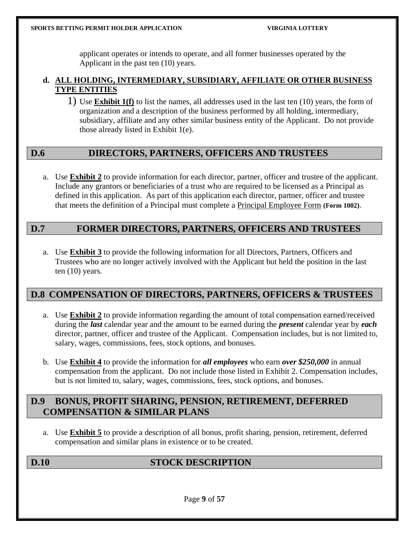applicant operates or intends to operate, and all former businesses operated by the Applicant in the past ten (10) years.

#### **d. ALL HOLDING, INTERMEDIARY, SUBSIDIARY, AFFILIATE OR OTHER BUSINESS TYPE ENTITIES**

1) Use **Exhibit 1(f)** to list the names, all addresses used in the last ten (10) years, the form of organization and a description of the business performed by all holding, intermediary, subsidiary, affiliate and any other similar business entity of the Applicant. Do not provide those already listed in Exhibit 1(e).

### **D.6 DIRECTORS, PARTNERS, OFFICERS AND TRUSTEES**

a. Use **Exhibit 2** to provide information for each director, partner, officer and trustee of the applicant. Include any grantors or beneficiaries of a trust who are required to be licensed as a Principal as defined in this application. As part of this application each director, partner, officer and trustee that meets the definition of a Principal must complete a Principal Employee Form **(Form 1002)**.

#### **D.7 FORMER DIRECTORS, PARTNERS, OFFICERS AND TRUSTEES**

a. Use **Exhibit 3** to provide the following information for all Directors, Partners, Officers and Trustees who are no longer actively involved with the Applicant but held the position in the last ten (10) years.

#### **D.8 COMPENSATION OF DIRECTORS, PARTNERS, OFFICERS & TRUSTEES**

- a. Use **Exhibit 2** to provide information regarding the amount of total compensation earned/received during the *last* calendar year and the amount to be earned during the *present* calendar year by *each* director, partner, officer and trustee of the Applicant. Compensation includes, but is not limited to, salary, wages, commissions, fees, stock options, and bonuses.
- b. Use **Exhibit 4** to provide the information for *all employees* who earn *over \$250,000* in annual compensation from the applicant. Do not include those listed in Exhibit 2. Compensation includes, but is not limited to, salary, wages, commissions, fees, stock options, and bonuses.

#### **D.9 BONUS, PROFIT SHARING, PENSION, RETIREMENT, DEFERRED COMPENSATION & SIMILAR PLANS**

a. Use **Exhibit 5** to provide a description of all bonus, profit sharing, pension, retirement, deferred compensation and similar plans in existence or to be created.

### **D.10 STOCK DESCRIPTION**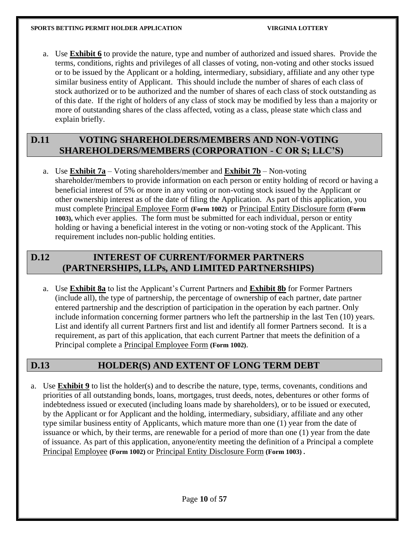a. Use **Exhibit 6** to provide the nature, type and number of authorized and issued shares. Provide the terms, conditions, rights and privileges of all classes of voting, non-voting and other stocks issued or to be issued by the Applicant or a holding, intermediary, subsidiary, affiliate and any other type similar business entity of Applicant. This should include the number of shares of each class of stock authorized or to be authorized and the number of shares of each class of stock outstanding as of this date. If the right of holders of any class of stock may be modified by less than a majority or more of outstanding shares of the class affected, voting as a class, please state which class and explain briefly.

#### **D.11 VOTING SHAREHOLDERS/MEMBERS AND NON-VOTING SHAREHOLDERS/MEMBERS (CORPORATION - C OR S; LLC'S)**

a. Use **Exhibit 7a** – Voting shareholders/member and **Exhibit 7b** – Non-voting shareholder/members to provide information on each person or entity holding of record or having a beneficial interest of 5% or more in any voting or non-voting stock issued by the Applicant or other ownership interest as of the date of filing the Application. As part of this application, you must complete Principal Employee Form **(Form 1002)** or Principal Entity Disclosure form **(Form 1003),** which ever applies. The form must be submitted for each individual, person or entity holding or having a beneficial interest in the voting or non-voting stock of the Applicant. This requirement includes non-public holding entities.

#### **D.12 INTEREST OF CURRENT/FORMER PARTNERS (PARTNERSHIPS, LLPs, AND LIMITED PARTNERSHIPS)**

a. Use **Exhibit 8a** to list the Applicant's Current Partners and **Exhibit 8b** for Former Partners (include all), the type of partnership, the percentage of ownership of each partner, date partner entered partnership and the description of participation in the operation by each partner. Only include information concerning former partners who left the partnership in the last Ten (10) years. List and identify all current Partners first and list and identify all former Partners second. It is a requirement, as part of this application, that each current Partner that meets the definition of a Principal complete a Principal Employee Form **(Form 1002)**.

#### **D.13 HOLDER(S) AND EXTENT OF LONG TERM DEBT**

a. Use **Exhibit 9** to list the holder(s) and to describe the nature, type, terms, covenants, conditions and priorities of all outstanding bonds, loans, mortgages, trust deeds, notes, debentures or other forms of indebtedness issued or executed (including loans made by shareholders), or to be issued or executed, by the Applicant or for Applicant and the holding, intermediary, subsidiary, affiliate and any other type similar business entity of Applicants, which mature more than one (1) year from the date of issuance or which, by their terms, are renewable for a period of more than one (1) year from the date of issuance. As part of this application, anyone/entity meeting the definition of a Principal a complete Principal Employee **(Form 1002)** or Principal Entity Disclosure Form **(Form 1003) .**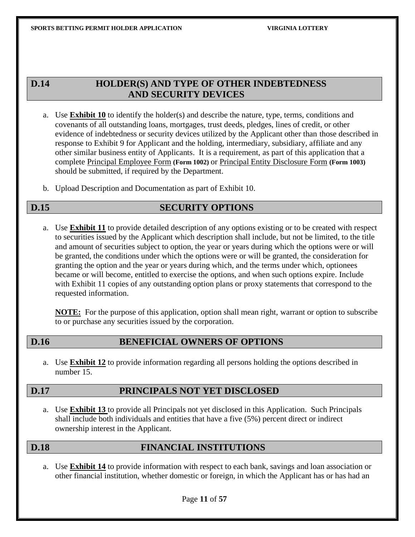#### **D.14 HOLDER(S) AND TYPE OF OTHER INDEBTEDNESS AND SECURITY DEVICES**

- a. Use **Exhibit 10** to identify the holder(s) and describe the nature, type, terms, conditions and covenants of all outstanding loans, mortgages, trust deeds, pledges, lines of credit, or other evidence of indebtedness or security devices utilized by the Applicant other than those described in response to Exhibit 9 for Applicant and the holding, intermediary, subsidiary, affiliate and any other similar business entity of Applicants. It is a requirement, as part of this application that a complete Principal Employee Form **(Form 1002)** or Principal Entity Disclosure Form **(Form 1003)**  should be submitted, if required by the Department.
- b. Upload Description and Documentation as part of Exhibit 10.

#### **D.15** SECURITY OPTIONS

a. Use **Exhibit 11** to provide detailed description of any options existing or to be created with respect to securities issued by the Applicant which description shall include, but not be limited, to the title and amount of securities subject to option, the year or years during which the options were or will be granted, the conditions under which the options were or will be granted, the consideration for granting the option and the year or years during which, and the terms under which, optionees became or will become, entitled to exercise the options, and when such options expire. Include with Exhibit 11 copies of any outstanding option plans or proxy statements that correspond to the requested information.

**NOTE:** For the purpose of this application, option shall mean right, warrant or option to subscribe to or purchase any securities issued by the corporation.

#### **D.16 BENEFICIAL OWNERS OF OPTIONS**

a. Use **Exhibit 12** to provide information regarding all persons holding the options described in number 15.

#### **D.17 PRINCIPALS NOT YET DISCLOSED**

a. Use **Exhibit 13** to provide all Principals not yet disclosed in this Application. Such Principals shall include both individuals and entities that have a five (5%) percent direct or indirect ownership interest in the Applicant.

#### **D.18 FINANCIAL INSTITUTIONS**

a. Use **Exhibit 14** to provide information with respect to each bank, savings and loan association or other financial institution, whether domestic or foreign, in which the Applicant has or has had an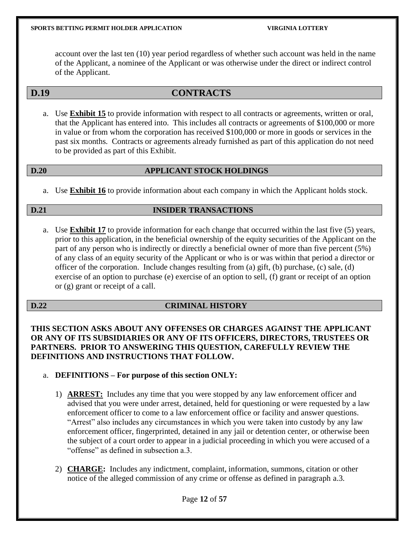account over the last ten (10) year period regardless of whether such account was held in the name of the Applicant, a nominee of the Applicant or was otherwise under the direct or indirect control of the Applicant.

#### **D.19 CONTRACTS**

a. Use **Exhibit 15** to provide information with respect to all contracts or agreements, written or oral, that the Applicant has entered into. This includes all contracts or agreements of \$100,000 or more in value or from whom the corporation has received \$100,000 or more in goods or services in the past six months. Contracts or agreements already furnished as part of this application do not need to be provided as part of this Exhibit.

#### **D.20 APPLICANT STOCK HOLDINGS**

a. Use **Exhibit 16** to provide information about each company in which the Applicant holds stock.

#### **D.21 INSIDER TRANSACTIONS**

a. Use **Exhibit 17** to provide information for each change that occurred within the last five (5) years, prior to this application, in the beneficial ownership of the equity securities of the Applicant on the part of any person who is indirectly or directly a beneficial owner of more than five percent (5%) of any class of an equity security of the Applicant or who is or was within that period a director or officer of the corporation. Include changes resulting from (a) gift, (b) purchase, (c) sale, (d) exercise of an option to purchase (e) exercise of an option to sell, (f) grant or receipt of an option or (g) grant or receipt of a call.

#### **D.22 CRIMINAL HISTORY**

**THIS SECTION ASKS ABOUT ANY OFFENSES OR CHARGES AGAINST THE APPLICANT OR ANY OF ITS SUBSIDIARIES OR ANY OF ITS OFFICERS, DIRECTORS, TRUSTEES OR PARTNERS. PRIOR TO ANSWERING THIS QUESTION, CAREFULLY REVIEW THE DEFINITIONS AND INSTRUCTIONS THAT FOLLOW.**

#### a. **DEFINITIONS – For purpose of this section ONLY:**

- 1) **ARREST:** Includes any time that you were stopped by any law enforcement officer and advised that you were under arrest, detained, held for questioning or were requested by a law enforcement officer to come to a law enforcement office or facility and answer questions. "Arrest" also includes any circumstances in which you were taken into custody by any law enforcement officer, fingerprinted, detained in any jail or detention center, or otherwise been the subject of a court order to appear in a judicial proceeding in which you were accused of a "offense" as defined in subsection a.3.
- 2) **CHARGE:** Includes any indictment, complaint, information, summons, citation or other notice of the alleged commission of any crime or offense as defined in paragraph a.3.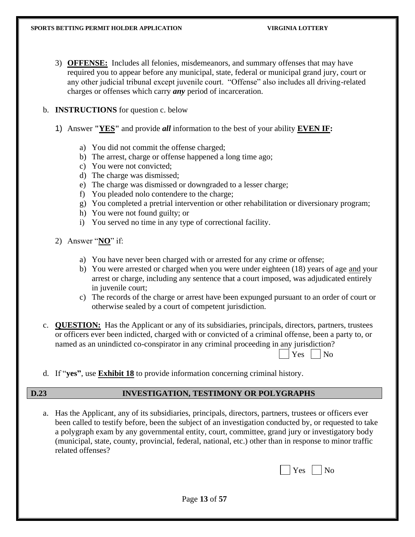- 3) **OFFENSE:** Includes all felonies, misdemeanors, and summary offenses that may have required you to appear before any municipal, state, federal or municipal grand jury, court or any other judicial tribunal except juvenile court. "Offense" also includes all driving-related charges or offenses which carry *any* period of incarceration.
- b. **INSTRUCTIONS** for question c. below
	- 1) Answer **"YES"** and provide *all* information to the best of your ability **EVEN IF:**
		- a) You did not commit the offense charged;
		- b) The arrest, charge or offense happened a long time ago;
		- c) You were not convicted;
		- d) The charge was dismissed;
		- e) The charge was dismissed or downgraded to a lesser charge;
		- f) You pleaded nolo contendere to the charge;
		- g) You completed a pretrial intervention or other rehabilitation or diversionary program;
		- h) You were not found guilty; or
		- i) You served no time in any type of correctional facility.
	- 2) Answer "**NO**" if:
		- a) You have never been charged with or arrested for any crime or offense;
		- b) You were arrested or charged when you were under eighteen (18) years of age and your arrest or charge, including any sentence that a court imposed, was adjudicated entirely in juvenile court;
		- c) The records of the charge or arrest have been expunged pursuant to an order of court or otherwise sealed by a court of competent jurisdiction.
- c. **QUESTION:** Has the Applicant or any of its subsidiaries, principals, directors, partners, trustees or officers ever been indicted, charged with or convicted of a criminal offense, been a party to, or named as an unindicted co-conspirator in any criminal proceeding in any jurisdiction?

| A <sup>c</sup> | ง∩ |
|----------------|----|
|                |    |

d. If "**yes"**, use **Exhibit 18** to provide information concerning criminal history.

#### **D.23 INVESTIGATION, TESTIMONY OR POLYGRAPHS**

a. Has the Applicant, any of its subsidiaries, principals, directors, partners, trustees or officers ever been called to testify before, been the subject of an investigation conducted by, or requested to take a polygraph exam by any governmental entity, court, committee, grand jury or investigatory body (municipal, state, county, provincial, federal, national, etc.) other than in response to minor traffic related offenses?

|  |  | $\Box$ Yes $\Box$ No |  |  |
|--|--|----------------------|--|--|
|--|--|----------------------|--|--|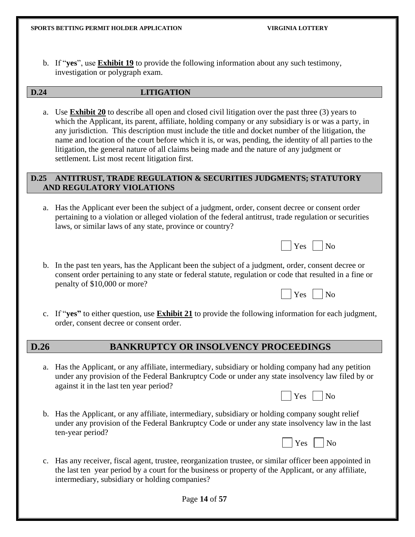b. If "**yes**", use **Exhibit 19** to provide the following information about any such testimony, investigation or polygraph exam.

#### **D.24 LITIGATION**

a. Use **Exhibit 20** to describe all open and closed civil litigation over the past three (3) years to which the Applicant, its parent, affiliate, holding company or any subsidiary is or was a party, in any jurisdiction. This description must include the title and docket number of the litigation, the name and location of the court before which it is, or was, pending, the identity of all parties to the litigation, the general nature of all claims being made and the nature of any judgment or settlement. List most recent litigation first.

#### **D.25 ANTITRUST, TRADE REGULATION & SECURITIES JUDGMENTS; STATUTORY AND REGULATORY VIOLATIONS**

a. Has the Applicant ever been the subject of a judgment, order, consent decree or consent order pertaining to a violation or alleged violation of the federal antitrust, trade regulation or securities laws, or similar laws of any state, province or country?

| $\Box$ Yes $\Box$ No |  |
|----------------------|--|
|----------------------|--|

b. In the past ten years, has the Applicant been the subject of a judgment, order, consent decree or consent order pertaining to any state or federal statute, regulation or code that resulted in a fine or penalty of \$10,000 or more?

| $\Box$ Yes $\Box$ No |  |
|----------------------|--|
|----------------------|--|

c. If "**yes"** to either question, use **Exhibit 21** to provide the following information for each judgment, order, consent decree or consent order.

#### **D.26 BANKRUPTCY OR INSOLVENCY PROCEEDINGS**

a. Has the Applicant, or any affiliate, intermediary, subsidiary or holding company had any petition under any provision of the Federal Bankruptcy Code or under any state insolvency law filed by or against it in the last ten year period?

|  | ∽<br>. – J |  | റ<br>u. |
|--|------------|--|---------|
|--|------------|--|---------|

b. Has the Applicant, or any affiliate, intermediary, subsidiary or holding company sought relief under any provision of the Federal Bankruptcy Code or under any state insolvency law in the last ten-year period?

| $\Box$ Yes $\Box$ No |
|----------------------|
|----------------------|

c. Has any receiver, fiscal agent, trustee, reorganization trustee, or similar officer been appointed in the last ten year period by a court for the business or property of the Applicant, or any affiliate, intermediary, subsidiary or holding companies?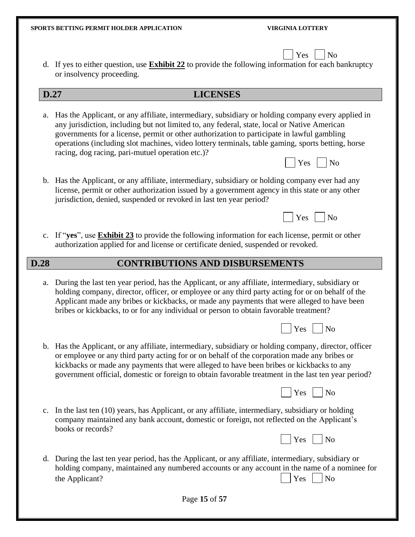$\Box$   $V_{\text{ee}}$   $\Box$   $N_{\Omega}$ 

| $\sqrt{2}$                                                                                                   |
|--------------------------------------------------------------------------------------------------------------|
| d. If yes to either question, use <b>Exhibit 22</b> to provide the following information for each bankruptcy |
| or insolvency proceeding.                                                                                    |

- **D.27 LICENSES**
- a. Has the Applicant, or any affiliate, intermediary, subsidiary or holding company every applied in any jurisdiction, including but not limited to, any federal, state, local or Native American governments for a license, permit or other authorization to participate in lawful gambling operations (including slot machines, video lottery terminals, table gaming, sports betting, horse racing, dog racing, pari-mutuel operation etc.)?
- b. Has the Applicant, or any affiliate, intermediary, subsidiary or holding company ever had any license, permit or other authorization issued by a government agency in this state or any other jurisdiction, denied, suspended or revoked in last ten year period?
	- $Yes \mid \n| No$

 $Yes \mid No$ 

c. If "**yes**", use **Exhibit 23** to provide the following information for each license, permit or other authorization applied for and license or certificate denied, suspended or revoked.

#### **D.28 CONTRIBUTIONS AND DISBURSEMENTS**

a. During the last ten year period, has the Applicant, or any affiliate, intermediary, subsidiary or holding company, director, officer, or employee or any third party acting for or on behalf of the Applicant made any bribes or kickbacks, or made any payments that were alleged to have been bribes or kickbacks, to or for any individual or person to obtain favorable treatment?

|  | Y es - | No |
|--|--------|----|
|--|--------|----|

b. Has the Applicant, or any affiliate, intermediary, subsidiary or holding company, director, officer or employee or any third party acting for or on behalf of the corporation made any bribes or kickbacks or made any payments that were alleged to have been bribes or kickbacks to any government official, domestic or foreign to obtain favorable treatment in the last ten year period? Ī



c. In the last ten (10) years, has Applicant, or any affiliate, intermediary, subsidiary or holding company maintained any bank account, domestic or foreign, not reflected on the Applicant's books or records?

|  |  | $\Box$ Yes $\Box$ No |  |  |  |
|--|--|----------------------|--|--|--|
|--|--|----------------------|--|--|--|

d. During the last ten year period, has the Applicant, or any affiliate, intermediary, subsidiary or holding company, maintained any numbered accounts or any account in the name of a nominee for the Applicant?  $|$   $|$   $Y$ es  $|$   $|$  No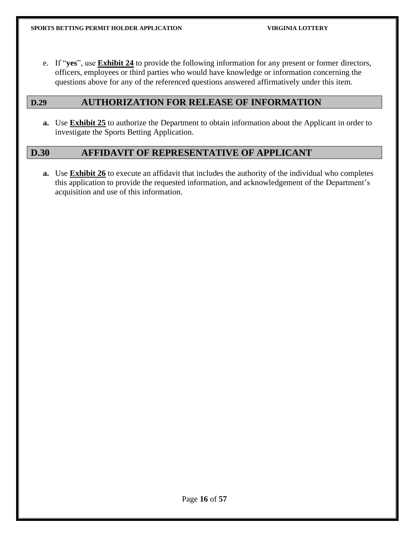e. If "**yes**", use **Exhibit 24** to provide the following information for any present or former directors, officers, employees or third parties who would have knowledge or information concerning the questions above for any of the referenced questions answered affirmatively under this item.

#### **D.29 AUTHORIZATION FOR RELEASE OF INFORMATION**

**a.** Use **Exhibit 25** to authorize the Department to obtain information about the Applicant in order to investigate the Sports Betting Application.

#### **D.30 AFFIDAVIT OF REPRESENTATIVE OF APPLICANT**

**a.** Use **Exhibit 26** to execute an affidavit that includes the authority of the individual who completes this application to provide the requested information, and acknowledgement of the Department's acquisition and use of this information.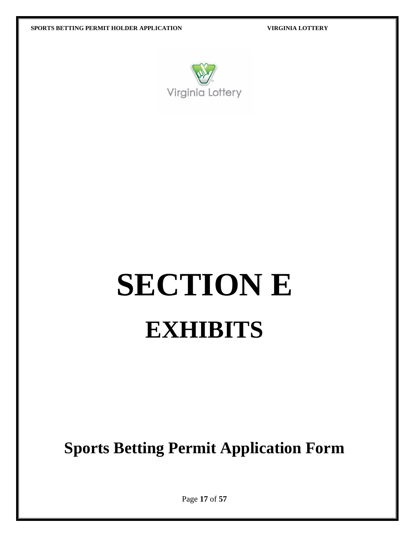

# **SECTION E EXHIBITS**

**Sports Betting Permit Application Form**

Page **17** of **57**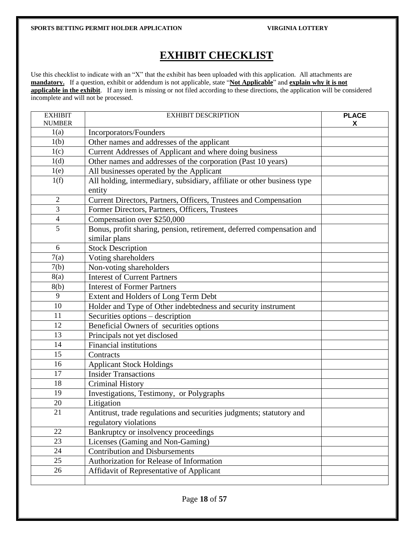### **EXHIBIT CHECKLIST**

Use this checklist to indicate with an "X" that the exhibit has been uploaded with this application. All attachments are **mandatory.** If a question, exhibit or addendum is not applicable, state "Not Applicable" and explain why it is not **applicable in the exhibit**. If any item is missing or not filed according to these directions, the application will be considered incomplete and will not be processed.

| <b>EXHIBIT</b> | <b>EXHIBIT DESCRIPTION</b>                                                             | <b>PLACE</b> |
|----------------|----------------------------------------------------------------------------------------|--------------|
| <b>NUMBER</b>  |                                                                                        | X            |
| 1(a)           | Incorporators/Founders                                                                 |              |
| 1(b)           | Other names and addresses of the applicant                                             |              |
| 1(c)           | Current Addresses of Applicant and where doing business                                |              |
| 1(d)           | Other names and addresses of the corporation (Past 10 years)                           |              |
| 1(e)           | All businesses operated by the Applicant                                               |              |
| 1(f)           | All holding, intermediary, subsidiary, affiliate or other business type<br>entity      |              |
| $\overline{2}$ | Current Directors, Partners, Officers, Trustees and Compensation                       |              |
| 3              | Former Directors, Partners, Officers, Trustees                                         |              |
| $\overline{4}$ | Compensation over \$250,000                                                            |              |
| 5              | Bonus, profit sharing, pension, retirement, deferred compensation and<br>similar plans |              |
| 6              | <b>Stock Description</b>                                                               |              |
| 7(a)           | Voting shareholders                                                                    |              |
| 7(b)           | Non-voting shareholders                                                                |              |
| 8(a)           | <b>Interest of Current Partners</b>                                                    |              |
| 8(b)           | <b>Interest of Former Partners</b>                                                     |              |
| 9              | Extent and Holders of Long Term Debt                                                   |              |
| 10             | Holder and Type of Other indebtedness and security instrument                          |              |
| 11             | Securities options – description                                                       |              |
| 12             | Beneficial Owners of securities options                                                |              |
| 13             | Principals not yet disclosed                                                           |              |
| 14             | <b>Financial institutions</b>                                                          |              |
| 15             | Contracts                                                                              |              |
| 16             | <b>Applicant Stock Holdings</b>                                                        |              |
| 17             | <b>Insider Transactions</b>                                                            |              |
| 18             | <b>Criminal History</b>                                                                |              |
| 19             | Investigations, Testimony, or Polygraphs                                               |              |
| 20             | Litigation                                                                             |              |
| 21             | Antitrust, trade regulations and securities judgments; statutory and                   |              |
|                | regulatory violations                                                                  |              |
| 22             | Bankruptcy or insolvency proceedings                                                   |              |
| 23             | Licenses (Gaming and Non-Gaming)                                                       |              |
| 24             | <b>Contribution and Disbursements</b>                                                  |              |
| 25             | Authorization for Release of Information                                               |              |
| 26             | Affidavit of Representative of Applicant                                               |              |
|                |                                                                                        |              |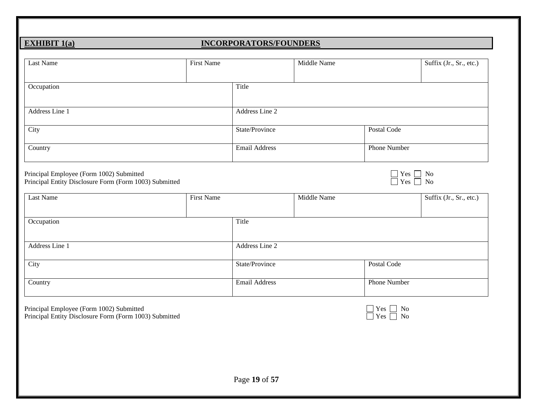### **EXHIBIT 1(a) INCORPORATORS/FOUNDERS**

| Last Name                                                                                                       | First Name        | Middle Name          | Suffix (Jr., Sr., etc.)                                                                                             |
|-----------------------------------------------------------------------------------------------------------------|-------------------|----------------------|---------------------------------------------------------------------------------------------------------------------|
| Occupation                                                                                                      | Title             |                      |                                                                                                                     |
| Address Line 1                                                                                                  |                   | Address Line 2       |                                                                                                                     |
| City                                                                                                            |                   | State/Province       | Postal Code                                                                                                         |
| Country                                                                                                         |                   | <b>Email Address</b> | <b>Phone Number</b>                                                                                                 |
|                                                                                                                 |                   |                      |                                                                                                                     |
| Principal Employee (Form 1002) Submitted<br>Principal Entity Disclosure Form (Form 1003) Submitted<br>Last Name | <b>First Name</b> | Middle Name          | $\begin{array}{c}\n\Box \text{ Yes} \\ \Box \text{ Yes} \\ \Box \text{ No}\n\end{array}$<br>Suffix (Jr., Sr., etc.) |
|                                                                                                                 | Title             |                      |                                                                                                                     |
|                                                                                                                 |                   | Address Line 2       |                                                                                                                     |
| Occupation<br>Address Line 1<br>City                                                                            |                   | State/Province       | Postal Code                                                                                                         |

Principal Entity Disclosure Form (Form 1003) Submitted  $\Box$  Yes  $\Box$  No

| r es | J٢ |
|------|----|
| √es. | C  |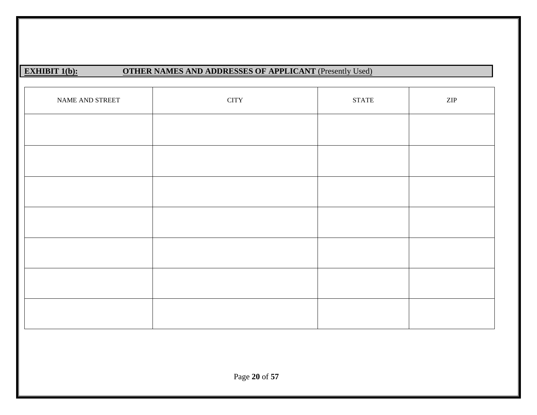### **EXHIBIT 1(b):** OTHER NAMES AND ADDRESSES OF APPLICANT (Presently Used)

| NAME AND STREET | <b>CITY</b> | <b>STATE</b> | $\ensuremath{\mathrm{ZIP}}$ |
|-----------------|-------------|--------------|-----------------------------|
|                 |             |              |                             |
|                 |             |              |                             |
|                 |             |              |                             |
|                 |             |              |                             |
|                 |             |              |                             |
|                 |             |              |                             |
|                 |             |              |                             |
|                 |             |              |                             |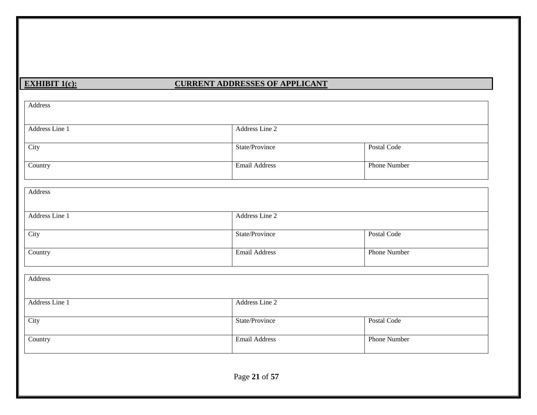#### **EXHIBIT 1(c): CURRENT ADDRESSES OF APPLICANT**

| Address        |                      |                     |
|----------------|----------------------|---------------------|
| Address Line 1 | Address Line 2       |                     |
| City           | State/Province       | Postal Code         |
| Country        | <b>Email Address</b> | <b>Phone Number</b> |
| Address        |                      |                     |
| Address Line 1 | Address Line 2       |                     |
| City           | State/Province       | Postal Code         |
| Country        | Email Address        | <b>Phone Number</b> |
| Address        |                      |                     |
| Address Line 1 | Address Line 2       |                     |
| City           | State/Province       | Postal Code         |
| Country        | <b>Email Address</b> | <b>Phone Number</b> |
|                | Page 21 of 57        |                     |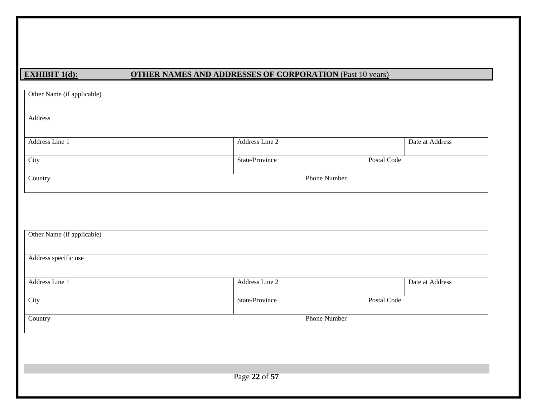### **EXHIBIT 1(d): OTHER NAMES AND ADDRESSES OF CORPORATION** (Past 10 years)

| Other Name (if applicable) |                |                     |             |                 |
|----------------------------|----------------|---------------------|-------------|-----------------|
| Address                    |                |                     |             |                 |
| Address Line 1             | Address Line 2 |                     |             | Date at Address |
| City                       | State/Province |                     | Postal Code |                 |
| Country                    |                | <b>Phone Number</b> |             |                 |
|                            |                |                     |             |                 |
|                            |                |                     |             |                 |
| Other Name (if applicable) |                |                     |             |                 |
| Address specific use       |                |                     |             |                 |
|                            |                |                     |             |                 |
| Address Line 1             | Address Line 2 |                     |             | Date at Address |
| City                       | State/Province |                     | Postal Code |                 |
| Country                    |                | <b>Phone Number</b> |             |                 |
|                            |                |                     |             |                 |
|                            |                |                     |             |                 |
|                            |                |                     |             |                 |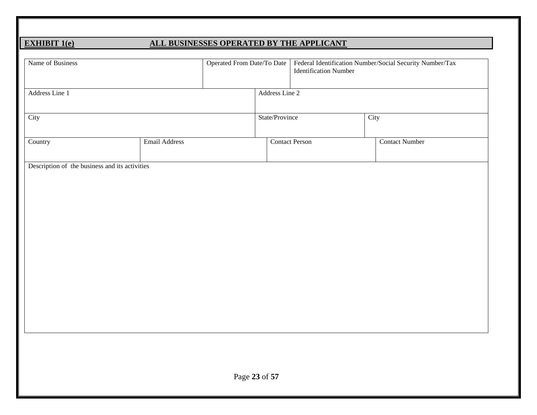### **EXHIBIT 1(e) ALL BUSINESSES OPERATED BY THE APPLICANT**

| Address Line 1<br>City<br>Email Address<br>Country<br>Description of the business and its activities |                | Operated From Date/To Date<br>Federal Identification Number/Social Security Number/Tax<br><b>Identification Number</b> |                       |
|------------------------------------------------------------------------------------------------------|----------------|------------------------------------------------------------------------------------------------------------------------|-----------------------|
|                                                                                                      | Address Line 2 |                                                                                                                        |                       |
|                                                                                                      | State/Province |                                                                                                                        | City                  |
|                                                                                                      |                | <b>Contact Person</b>                                                                                                  | <b>Contact Number</b> |
|                                                                                                      |                |                                                                                                                        |                       |
|                                                                                                      |                |                                                                                                                        |                       |
|                                                                                                      |                |                                                                                                                        |                       |
|                                                                                                      |                |                                                                                                                        |                       |
|                                                                                                      |                |                                                                                                                        |                       |
|                                                                                                      |                |                                                                                                                        |                       |
|                                                                                                      |                |                                                                                                                        |                       |
|                                                                                                      |                |                                                                                                                        |                       |
|                                                                                                      |                |                                                                                                                        |                       |
|                                                                                                      | Page 23 of 57  |                                                                                                                        |                       |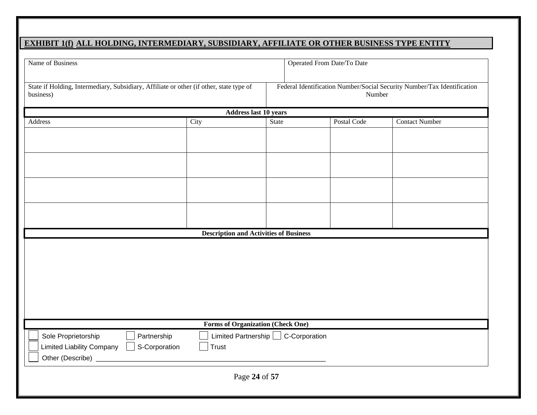#### **EXHIBIT 1(f) ALL HOLDING, INTERMEDIARY, SUBSIDIARY, AFFILIATE OR OTHER BUSINESS TYPE ENTITY**

| Name of Business<br>Operated From Date/To Date                                                       |                                               |                                                                                   |             |                       |
|------------------------------------------------------------------------------------------------------|-----------------------------------------------|-----------------------------------------------------------------------------------|-------------|-----------------------|
| State if Holding, Intermediary, Subsidiary, Affiliate or other (if other, state type of<br>business) |                                               | Federal Identification Number/Social Security Number/Tax Identification<br>Number |             |                       |
| <b>Address last 10 years</b>                                                                         |                                               |                                                                                   |             |                       |
| Address                                                                                              | City                                          | State                                                                             | Postal Code | <b>Contact Number</b> |
|                                                                                                      |                                               |                                                                                   |             |                       |
|                                                                                                      |                                               |                                                                                   |             |                       |
|                                                                                                      |                                               |                                                                                   |             |                       |
|                                                                                                      |                                               |                                                                                   |             |                       |
|                                                                                                      |                                               |                                                                                   |             |                       |
|                                                                                                      |                                               |                                                                                   |             |                       |
|                                                                                                      |                                               |                                                                                   |             |                       |
|                                                                                                      |                                               |                                                                                   |             |                       |
|                                                                                                      |                                               |                                                                                   |             |                       |
|                                                                                                      | <b>Description and Activities of Business</b> |                                                                                   |             |                       |
|                                                                                                      |                                               |                                                                                   |             |                       |
|                                                                                                      | <b>Forms of Organization (Check One)</b>      |                                                                                   |             |                       |
| Sole Proprietorship<br>Partnership                                                                   |                                               | Limited Partnership C-Corporation                                                 |             |                       |
| <b>Limited Liability Company</b><br>S-Corporation<br>Other (Describe) _                              | Trust                                         |                                                                                   |             |                       |
|                                                                                                      | Page 24 of 57                                 |                                                                                   |             |                       |
|                                                                                                      |                                               |                                                                                   |             |                       |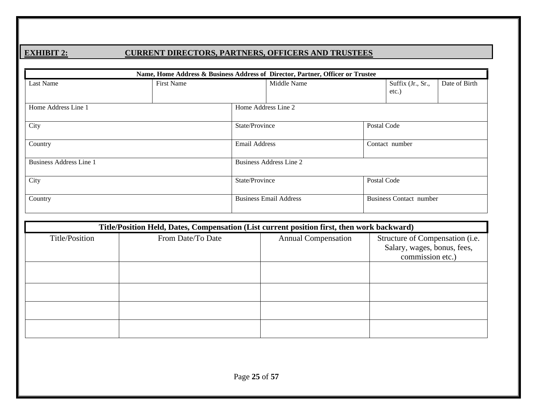#### **EXHIBIT 2: CURRENT DIRECTORS, PARTNERS, OFFICERS AND TRUSTEES**

| Name, Home Address & Business Address of Director, Partner, Officer or Trustee |                   |                     |                                |             |                                |               |
|--------------------------------------------------------------------------------|-------------------|---------------------|--------------------------------|-------------|--------------------------------|---------------|
| Last Name                                                                      | <b>First Name</b> |                     | Middle Name                    |             | Suffix (Jr., Sr.,<br>$etc.$ )  | Date of Birth |
| Home Address Line 1                                                            |                   | Home Address Line 2 |                                |             |                                |               |
| City                                                                           |                   | State/Province      |                                | Postal Code |                                |               |
| Country                                                                        |                   |                     | <b>Email Address</b>           |             | Contact number                 |               |
| Business Address Line 1                                                        |                   |                     | <b>Business Address Line 2</b> |             |                                |               |
| City                                                                           |                   | State/Province      |                                | Postal Code |                                |               |
| Country                                                                        |                   |                     | <b>Business Email Address</b>  |             | <b>Business Contact number</b> |               |

|                | Title/Position Held, Dates, Compensation (List current position first, then work backward) |                            |                                                                                    |  |  |  |
|----------------|--------------------------------------------------------------------------------------------|----------------------------|------------------------------------------------------------------------------------|--|--|--|
| Title/Position | From Date/To Date                                                                          | <b>Annual Compensation</b> | Structure of Compensation (i.e.<br>Salary, wages, bonus, fees,<br>commission etc.) |  |  |  |
|                |                                                                                            |                            |                                                                                    |  |  |  |
|                |                                                                                            |                            |                                                                                    |  |  |  |
|                |                                                                                            |                            |                                                                                    |  |  |  |
|                |                                                                                            |                            |                                                                                    |  |  |  |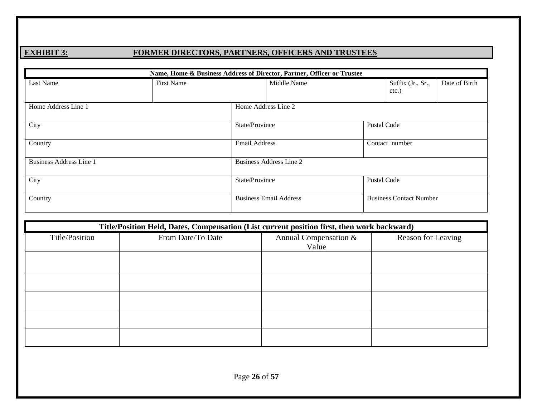### **EXHIBIT 3: FORMER DIRECTORS, PARTNERS, OFFICERS AND TRUSTEES**

| Name, Home & Business Address of Director, Partner, Officer or Trustee |                   |                                 |                               |             |                                |               |  |  |
|------------------------------------------------------------------------|-------------------|---------------------------------|-------------------------------|-------------|--------------------------------|---------------|--|--|
| Last Name                                                              | <b>First Name</b> |                                 | Middle Name                   |             | Suffix (Jr., Sr.,<br>etc.)     | Date of Birth |  |  |
| Home Address Line 1                                                    |                   | Home Address Line 2             |                               |             |                                |               |  |  |
| City                                                                   |                   |                                 | Postal Code<br>State/Province |             |                                |               |  |  |
| Country                                                                |                   | Email Address<br>Contact number |                               |             |                                |               |  |  |
| <b>Business Address Line 1</b>                                         |                   |                                 | Business Address Line 2       |             |                                |               |  |  |
| City                                                                   |                   | State/Province                  |                               | Postal Code |                                |               |  |  |
| Country                                                                |                   |                                 | <b>Business Email Address</b> |             | <b>Business Contact Number</b> |               |  |  |

|                | Title/Position Held, Dates, Compensation (List current position first, then work backward) |                                |                    |  |  |  |  |
|----------------|--------------------------------------------------------------------------------------------|--------------------------------|--------------------|--|--|--|--|
| Title/Position | From Date/To Date                                                                          | Annual Compensation &<br>Value | Reason for Leaving |  |  |  |  |
|                |                                                                                            |                                |                    |  |  |  |  |
|                |                                                                                            |                                |                    |  |  |  |  |
|                |                                                                                            |                                |                    |  |  |  |  |
|                |                                                                                            |                                |                    |  |  |  |  |
|                |                                                                                            |                                |                    |  |  |  |  |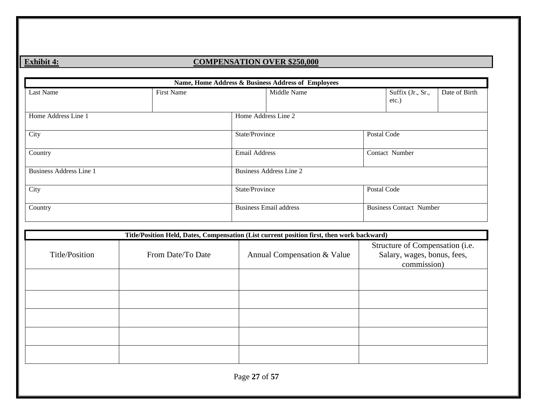### **Exhibit 4: COMPENSATION OVER \$250,000**

|                                |                   |                     | Name, Home Address & Business Address of Employees |             |                                |               |
|--------------------------------|-------------------|---------------------|----------------------------------------------------|-------------|--------------------------------|---------------|
| Last Name                      | <b>First Name</b> |                     | Middle Name                                        |             | Suffix (Jr., Sr.,<br>etc.)     | Date of Birth |
| Home Address Line 1            |                   | Home Address Line 2 |                                                    |             |                                |               |
| City                           |                   | State/Province      |                                                    | Postal Code |                                |               |
| Country                        |                   |                     | Email Address                                      |             | Contact Number                 |               |
| <b>Business Address Line 1</b> |                   |                     | <b>Business Address Line 2</b>                     |             |                                |               |
| City                           |                   | State/Province      |                                                    | Postal Code |                                |               |
| Country                        |                   |                     | <b>Business Email address</b>                      |             | <b>Business Contact Number</b> |               |

|                | Title/Position Held, Dates, Compensation (List current position first, then work backward) |                             |                                                                               |  |  |  |  |
|----------------|--------------------------------------------------------------------------------------------|-----------------------------|-------------------------------------------------------------------------------|--|--|--|--|
| Title/Position | From Date/To Date                                                                          | Annual Compensation & Value | Structure of Compensation (i.e.<br>Salary, wages, bonus, fees,<br>commission) |  |  |  |  |
|                |                                                                                            |                             |                                                                               |  |  |  |  |
|                |                                                                                            |                             |                                                                               |  |  |  |  |
|                |                                                                                            |                             |                                                                               |  |  |  |  |
|                |                                                                                            |                             |                                                                               |  |  |  |  |
|                |                                                                                            |                             |                                                                               |  |  |  |  |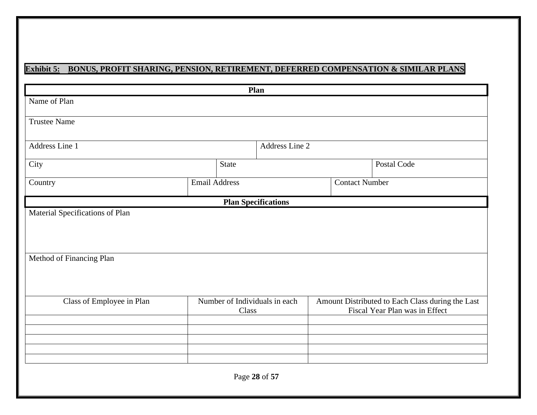### **Exhibit 5: BONUS, PROFIT SHARING, PENSION, RETIREMENT, DEFERRED COMPENSATION & SIMILAR PLANS**

|                                                             |                      | Plan                                   |                       |                                                                                    |
|-------------------------------------------------------------|----------------------|----------------------------------------|-----------------------|------------------------------------------------------------------------------------|
| Name of Plan                                                |                      |                                        |                       |                                                                                    |
| <b>Trustee Name</b>                                         |                      |                                        |                       |                                                                                    |
| Address Line 1                                              |                      | Address Line 2                         |                       |                                                                                    |
| City                                                        |                      | <b>State</b>                           |                       | Postal Code                                                                        |
| Country                                                     | <b>Email Address</b> |                                        | <b>Contact Number</b> |                                                                                    |
|                                                             |                      | <b>Plan Specifications</b>             |                       |                                                                                    |
| Material Specifications of Plan<br>Method of Financing Plan |                      |                                        |                       |                                                                                    |
| Class of Employee in Plan                                   |                      | Number of Individuals in each<br>Class |                       | Amount Distributed to Each Class during the Last<br>Fiscal Year Plan was in Effect |
|                                                             |                      |                                        |                       |                                                                                    |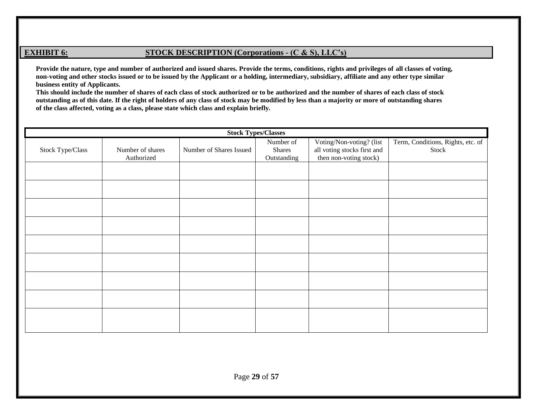#### **EXHIBIT 6: STOCK DESCRIPTION** (Corporations - **(C & S)**, LLC's)

**Provide the nature, type and number of authorized and issued shares. Provide the terms, conditions, rights and privileges of all classes of voting, non-voting and other stocks issued or to be issued by the Applicant or a holding, intermediary, subsidiary, affiliate and any other type similar business entity of Applicants.**

**This should include the number of shares of each class of stock authorized or to be authorized and the number of shares of each class of stock outstanding as of this date. If the right of holders of any class of stock may be modified by less than a majority or more of outstanding shares of the class affected, voting as a class, please state which class and explain briefly.**

|                  | <b>Stock Types/Classes</b> |                         |             |                             |                                   |  |  |  |  |
|------------------|----------------------------|-------------------------|-------------|-----------------------------|-----------------------------------|--|--|--|--|
|                  |                            |                         | Number of   | Voting/Non-voting? (list    | Term, Conditions, Rights, etc. of |  |  |  |  |
| Stock Type/Class | Number of shares           | Number of Shares Issued | Shares      | all voting stocks first and | Stock                             |  |  |  |  |
|                  | Authorized                 |                         | Outstanding | then non-voting stock)      |                                   |  |  |  |  |
|                  |                            |                         |             |                             |                                   |  |  |  |  |
|                  |                            |                         |             |                             |                                   |  |  |  |  |
|                  |                            |                         |             |                             |                                   |  |  |  |  |
|                  |                            |                         |             |                             |                                   |  |  |  |  |
|                  |                            |                         |             |                             |                                   |  |  |  |  |
|                  |                            |                         |             |                             |                                   |  |  |  |  |
|                  |                            |                         |             |                             |                                   |  |  |  |  |
|                  |                            |                         |             |                             |                                   |  |  |  |  |
|                  |                            |                         |             |                             |                                   |  |  |  |  |
|                  |                            |                         |             |                             |                                   |  |  |  |  |
|                  |                            |                         |             |                             |                                   |  |  |  |  |
|                  |                            |                         |             |                             |                                   |  |  |  |  |
|                  |                            |                         |             |                             |                                   |  |  |  |  |
|                  |                            |                         |             |                             |                                   |  |  |  |  |
|                  |                            |                         |             |                             |                                   |  |  |  |  |
|                  |                            |                         |             |                             |                                   |  |  |  |  |
|                  |                            |                         |             |                             |                                   |  |  |  |  |
|                  |                            |                         |             |                             |                                   |  |  |  |  |
|                  |                            |                         |             |                             |                                   |  |  |  |  |
|                  |                            |                         |             |                             |                                   |  |  |  |  |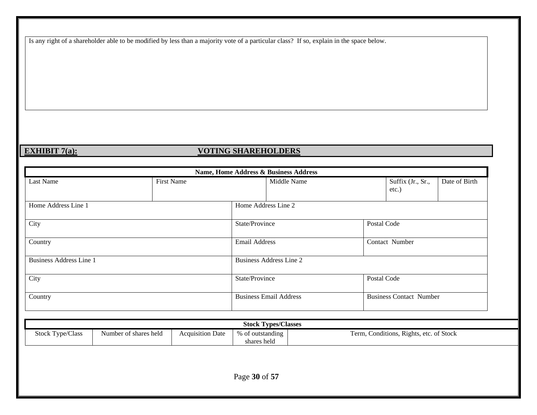Is any right of a shareholder able to be modified by less than a majority vote of a particular class? If so, explain in the space below.

### **EXHIBIT 7(a): VOTING SHAREHOLDERS**

| Name, Home Address & Business Address |                   |                |                               |             |                                |               |  |
|---------------------------------------|-------------------|----------------|-------------------------------|-------------|--------------------------------|---------------|--|
| Last Name                             | <b>First Name</b> |                | Middle Name                   |             | Suffix (Jr., Sr.,<br>etc.)     | Date of Birth |  |
| Home Address Line 1                   |                   |                | Home Address Line 2           |             |                                |               |  |
| City                                  |                   | State/Province |                               |             | Postal Code                    |               |  |
| Country                               |                   | Email Address  |                               |             | Contact Number                 |               |  |
| <b>Business Address Line 1</b>        |                   |                | Business Address Line 2       |             |                                |               |  |
| City                                  |                   | State/Province |                               | Postal Code |                                |               |  |
| Country                               |                   |                | <b>Business Email Address</b> |             | <b>Business Contact Number</b> |               |  |

|                         | <b>Stock Types/Classes</b> |                         |                                 |                                         |  |  |  |  |
|-------------------------|----------------------------|-------------------------|---------------------------------|-----------------------------------------|--|--|--|--|
| <b>Stock Type/Class</b> | Number of shares held      | <b>Acquisition Date</b> | % of outstanding<br>shares held | Term, Conditions, Rights, etc. of Stock |  |  |  |  |
|                         |                            |                         |                                 |                                         |  |  |  |  |
| Page 30 of 57           |                            |                         |                                 |                                         |  |  |  |  |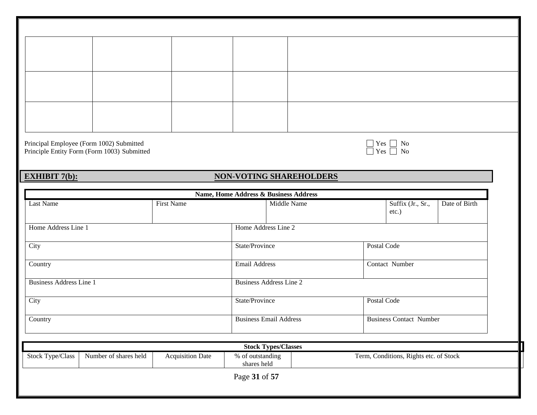Principal Employee (Form 1002) Submitted  $\Box$  Yes  $\Box$  No Principle Entity Form (Form 1003) Submitted  $\Box$  Yes  $\Box$  No

### **EXHIBIT 7(b): NON-VOTING SHAREHOLDERS**

|                                           |                         | Name, Home Address & Business Address |                               |                                        |                                |  |
|-------------------------------------------|-------------------------|---------------------------------------|-------------------------------|----------------------------------------|--------------------------------|--|
| Last Name                                 | <b>First Name</b>       | Middle Name                           |                               | Suffix (Jr., Sr.,<br>$etc.$ )          | Date of Birth                  |  |
| Home Address Line 1                       |                         | Home Address Line 2                   |                               |                                        |                                |  |
| City                                      |                         | State/Province                        | Postal Code                   |                                        |                                |  |
| Country                                   |                         | <b>Email Address</b>                  |                               | Contact Number                         |                                |  |
| <b>Business Address Line 1</b>            |                         | <b>Business Address Line 2</b>        |                               |                                        |                                |  |
| City                                      |                         |                                       | State/Province<br>Postal Code |                                        |                                |  |
| Country                                   |                         |                                       | <b>Business Email Address</b> |                                        | <b>Business Contact Number</b> |  |
|                                           |                         | <b>Stock Types/Classes</b>            |                               |                                        |                                |  |
| Number of shares held<br>Stock Type/Class | <b>Acquisition Date</b> | % of outstanding<br>shares held       |                               | Term, Conditions, Rights etc. of Stock |                                |  |
|                                           |                         | Page 31 of 57                         |                               |                                        |                                |  |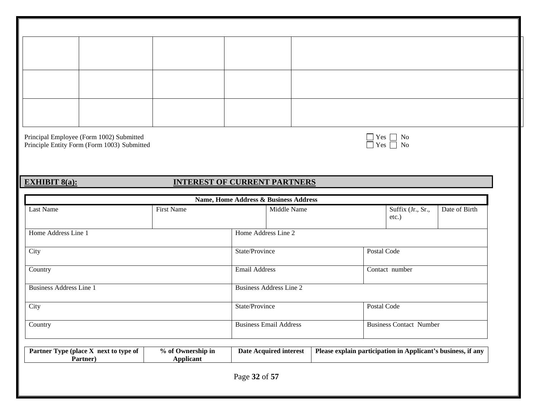Principal Employee (Form 1002) Submitted  $\Box$  Yes  $\Box$  No Principle Entity Form (Form 1003) Submitted  $\Box$  Yes  $\Box$  No

| es: | Г |
|-----|---|
| ⊷   | Γ |

#### **EXHIBIT 8(a): INTEREST OF CURRENT PARTNERS**

|                                                   |                                       |                                | Name, Home Address & Business Address |                                                              |                                |               |
|---------------------------------------------------|---------------------------------------|--------------------------------|---------------------------------------|--------------------------------------------------------------|--------------------------------|---------------|
| Last Name                                         | First Name                            |                                | Middle Name                           |                                                              | Suffix (Jr., Sr.,<br>$etc.$ )  | Date of Birth |
| Home Address Line 1                               |                                       |                                | Home Address Line 2                   |                                                              |                                |               |
| City                                              |                                       | State/Province                 |                                       |                                                              | Postal Code                    |               |
| Country                                           |                                       | <b>Email Address</b>           |                                       |                                                              | Contact number                 |               |
| <b>Business Address Line 1</b>                    |                                       | <b>Business Address Line 2</b> |                                       |                                                              |                                |               |
| City                                              |                                       | State/Province                 |                                       |                                                              | Postal Code                    |               |
| Country                                           |                                       | <b>Business Email Address</b>  |                                       |                                                              | <b>Business Contact Number</b> |               |
| Partner Type (place X next to type of<br>Partner) | % of Ownership in<br><b>Applicant</b> |                                | <b>Date Acquired interest</b>         | Please explain participation in Applicant's business, if any |                                |               |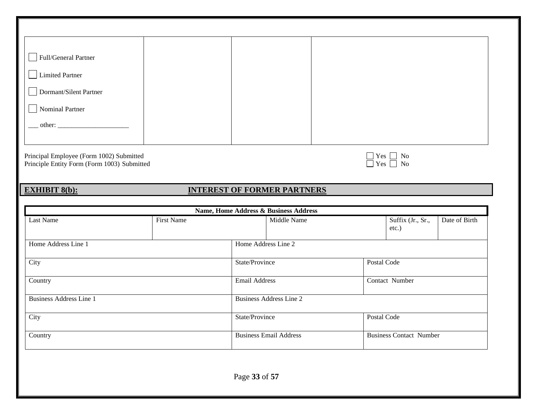| Full/General Partner            |  |  |
|---------------------------------|--|--|
| <b>Limited Partner</b>          |  |  |
| Dormant/Silent Partner          |  |  |
| Nominal Partner                 |  |  |
| other: $\overline{\phantom{a}}$ |  |  |
|                                 |  |  |

Principal Employee (Form 1002) Submitted  $\Box$  Yes  $\Box$  No Principle Entity Form (Form 1003) Submitted  $\Box$  Yes  $\Box$  No

| r es | n |
|------|---|
| r es | n |

#### **EXHIBIT 8(b): INTEREST OF FORMER PARTNERS**

|                                |            |                                                                 | Name, Home Address & Business Address                      |  |                |  |  |
|--------------------------------|------------|-----------------------------------------------------------------|------------------------------------------------------------|--|----------------|--|--|
| Last Name                      | First Name |                                                                 | Suffix (Jr., Sr.,<br>Date of Birth<br>Middle Name<br>etc.) |  |                |  |  |
| Home Address Line 1            |            | Home Address Line 2                                             |                                                            |  |                |  |  |
| City                           |            | State/Province                                                  |                                                            |  | Postal Code    |  |  |
| Country                        |            |                                                                 | Email Address                                              |  | Contact Number |  |  |
| <b>Business Address Line 1</b> |            | Business Address Line 2                                         |                                                            |  |                |  |  |
| City                           |            | State/Province                                                  |                                                            |  | Postal Code    |  |  |
| Country                        |            | <b>Business Contact Number</b><br><b>Business Email Address</b> |                                                            |  |                |  |  |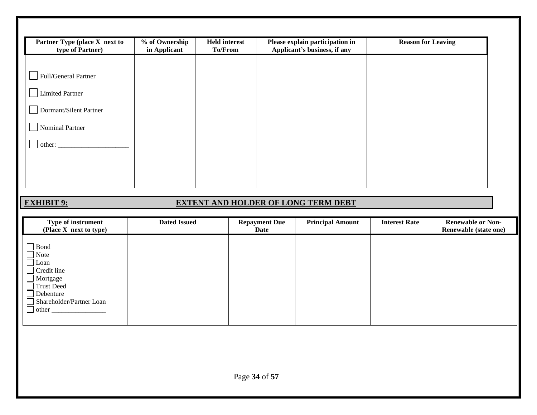| Partner Type (place X next to<br>type of Partner) | % of Ownership<br>in Applicant | <b>Held interest</b><br><b>To/From</b> | Please explain participation in<br>Applicant's business, if any | <b>Reason for Leaving</b> |
|---------------------------------------------------|--------------------------------|----------------------------------------|-----------------------------------------------------------------|---------------------------|
|                                                   |                                |                                        |                                                                 |                           |
| Full/General Partner                              |                                |                                        |                                                                 |                           |
| <b>Limited Partner</b>                            |                                |                                        |                                                                 |                           |
| Dormant/Silent Partner                            |                                |                                        |                                                                 |                           |
| Nominal Partner                                   |                                |                                        |                                                                 |                           |
| other: $\overline{\phantom{a}}$                   |                                |                                        |                                                                 |                           |
|                                                   |                                |                                        |                                                                 |                           |
|                                                   |                                |                                        |                                                                 |                           |
|                                                   |                                |                                        |                                                                 |                           |

### **EXHIBIT 9: EXTENT AND HOLDER OF LONG TERM DEBT**

| Type of instrument<br>(Place X next to type)                                                                                    | <b>Dated Issued</b> | <b>Repayment Due</b><br>Date | <b>Principal Amount</b> | <b>Interest Rate</b> | <b>Renewable or Non-</b><br>Renewable (state one) |
|---------------------------------------------------------------------------------------------------------------------------------|---------------------|------------------------------|-------------------------|----------------------|---------------------------------------------------|
| Bond<br>Note<br>  Loan<br>$\Box$ Credit line<br>$\Box$ Mortgage<br>Trust Deed<br>Debenture<br>Shareholder/Partner Loan<br>other |                     |                              |                         |                      |                                                   |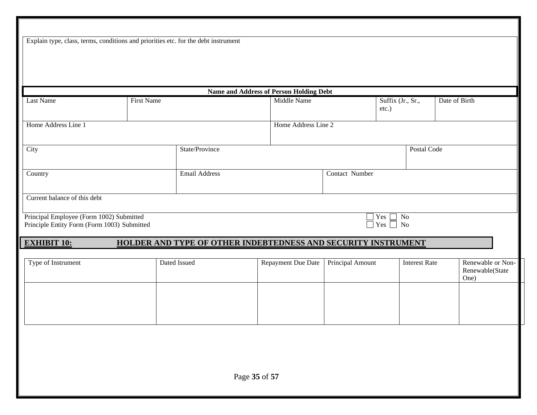| Explain type, class, terms, conditions and priorities etc. for the debt instrument      |                   |                |                                                               |                  |                                                   |                      |                                              |
|-----------------------------------------------------------------------------------------|-------------------|----------------|---------------------------------------------------------------|------------------|---------------------------------------------------|----------------------|----------------------------------------------|
|                                                                                         |                   |                |                                                               |                  |                                                   |                      |                                              |
|                                                                                         |                   |                |                                                               |                  |                                                   |                      |                                              |
|                                                                                         |                   |                |                                                               |                  |                                                   |                      |                                              |
|                                                                                         |                   |                | Name and Address of Person Holding Debt                       |                  |                                                   |                      |                                              |
| Last Name                                                                               | <b>First Name</b> |                | Middle Name                                                   |                  | Suffix (Jr., Sr.,<br>etc.)                        |                      | Date of Birth                                |
| Home Address Line 1                                                                     |                   |                | Home Address Line 2                                           |                  |                                                   |                      |                                              |
|                                                                                         |                   |                |                                                               |                  |                                                   |                      |                                              |
| City                                                                                    |                   | State/Province |                                                               |                  |                                                   | Postal Code          |                                              |
| Country                                                                                 |                   | Email Address  |                                                               | Contact Number   |                                                   |                      |                                              |
|                                                                                         |                   |                |                                                               |                  |                                                   |                      |                                              |
| Current balance of this debt                                                            |                   |                |                                                               |                  |                                                   |                      |                                              |
| Principal Employee (Form 1002) Submitted<br>Principle Entity Form (Form 1003) Submitted |                   |                |                                                               |                  | $\exists$ Yes<br>$\rm No$<br>$\Box$ Yes $\Box$ No |                      |                                              |
|                                                                                         |                   |                |                                                               |                  |                                                   |                      |                                              |
| <b>EXHIBIT 10:</b>                                                                      |                   |                | HOLDER AND TYPE OF OTHER INDEBTEDNESS AND SECURITY INSTRUMENT |                  |                                                   |                      |                                              |
| Type of Instrument                                                                      | Dated Issued      |                | Repayment Due Date                                            | Principal Amount |                                                   | <b>Interest Rate</b> | Renewable or Non-<br>Renewable(State<br>One) |
|                                                                                         |                   |                |                                                               |                  |                                                   |                      |                                              |
|                                                                                         |                   |                |                                                               |                  |                                                   |                      |                                              |
|                                                                                         |                   |                |                                                               |                  |                                                   |                      |                                              |
|                                                                                         |                   |                |                                                               |                  |                                                   |                      |                                              |
|                                                                                         |                   |                |                                                               |                  |                                                   |                      |                                              |
|                                                                                         |                   |                |                                                               |                  |                                                   |                      |                                              |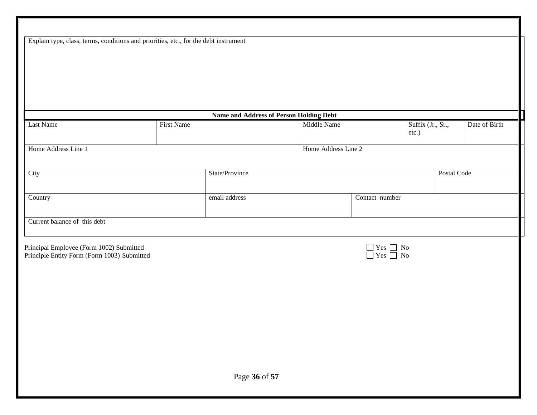Explain type, class, terms, conditions and priorities, etc., for the debt instrument

|                                                                                         |                   | Name and Address of Person Holding Debt |                     |                                                                                                                                   |                            |               |
|-----------------------------------------------------------------------------------------|-------------------|-----------------------------------------|---------------------|-----------------------------------------------------------------------------------------------------------------------------------|----------------------------|---------------|
| Last Name                                                                               | <b>First Name</b> |                                         | Middle Name         |                                                                                                                                   | Suffix (Jr., Sr.,<br>etc.) | Date of Birth |
| Home Address Line 1                                                                     |                   |                                         | Home Address Line 2 |                                                                                                                                   |                            |               |
| City                                                                                    |                   | State/Province                          |                     |                                                                                                                                   | Postal Code                |               |
| Country                                                                                 |                   | email address                           | Contact number      |                                                                                                                                   |                            |               |
| Current balance of this debt                                                            |                   |                                         |                     |                                                                                                                                   |                            |               |
| Principal Employee (Form 1002) Submitted<br>Principle Entity Form (Form 1003) Submitted |                   |                                         |                     | $\begin{tabular}{ c c c c } \hline \quad & Yes & No \\ \hline \quad & Yes & No \\ \hline \quad & No & No \\ \hline \end{tabular}$ |                            |               |
|                                                                                         |                   |                                         |                     |                                                                                                                                   |                            |               |
|                                                                                         |                   |                                         |                     |                                                                                                                                   |                            |               |
|                                                                                         |                   |                                         |                     |                                                                                                                                   |                            |               |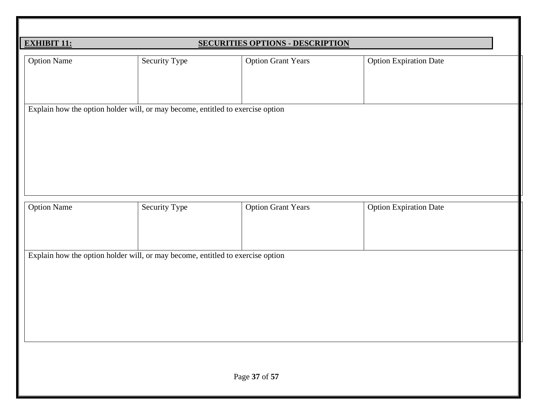| <b>EXHIBIT 11:</b>                                                             |               | <b>SECURITIES OPTIONS - DESCRIPTION</b> |                               |  |  |  |  |  |
|--------------------------------------------------------------------------------|---------------|-----------------------------------------|-------------------------------|--|--|--|--|--|
| <b>Option Name</b>                                                             | Security Type | <b>Option Grant Years</b>               | <b>Option Expiration Date</b> |  |  |  |  |  |
| Explain how the option holder will, or may become, entitled to exercise option |               |                                         |                               |  |  |  |  |  |
| <b>Option Name</b>                                                             | Security Type | <b>Option Grant Years</b>               | <b>Option Expiration Date</b> |  |  |  |  |  |
| Explain how the option holder will, or may become, entitled to exercise option |               |                                         |                               |  |  |  |  |  |
|                                                                                | Page 37 of 57 |                                         |                               |  |  |  |  |  |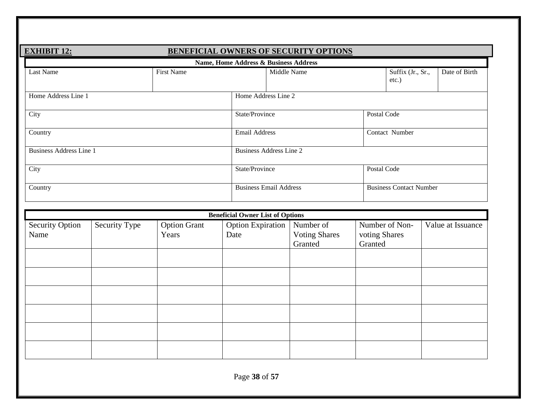| <b>BENEFICIAL OWNERS OF SECURITY OPTIONS</b><br><b>EXHIBIT 12:</b> |                   |                               |                                                |  |  |  |  |  |  |
|--------------------------------------------------------------------|-------------------|-------------------------------|------------------------------------------------|--|--|--|--|--|--|
| Name, Home Address & Business Address                              |                   |                               |                                                |  |  |  |  |  |  |
| Last Name                                                          | <b>First Name</b> | Middle Name                   | Suffix (Jr., Sr.,<br>Date of Birth<br>$etc.$ ) |  |  |  |  |  |  |
| Home Address Line 1                                                |                   | Home Address Line 2           |                                                |  |  |  |  |  |  |
| City                                                               |                   | State/Province                | Postal Code                                    |  |  |  |  |  |  |
| Country                                                            |                   |                               | Contact Number                                 |  |  |  |  |  |  |
| <b>Business Address Line 1</b>                                     |                   | Business Address Line 2       |                                                |  |  |  |  |  |  |
| City                                                               |                   | State/Province                | Postal Code                                    |  |  |  |  |  |  |
| Country                                                            |                   | <b>Business Email Address</b> | <b>Business Contact Number</b>                 |  |  |  |  |  |  |

|                                |               |                              | <b>Beneficial Owner List of Options</b> |                                              |                                            |                   |
|--------------------------------|---------------|------------------------------|-----------------------------------------|----------------------------------------------|--------------------------------------------|-------------------|
| <b>Security Option</b><br>Name | Security Type | <b>Option Grant</b><br>Years | <b>Option Expiration</b><br>Date        | Number of<br><b>Voting Shares</b><br>Granted | Number of Non-<br>voting Shares<br>Granted | Value at Issuance |
|                                |               |                              |                                         |                                              |                                            |                   |
|                                |               |                              |                                         |                                              |                                            |                   |
|                                |               |                              |                                         |                                              |                                            |                   |
|                                |               |                              |                                         |                                              |                                            |                   |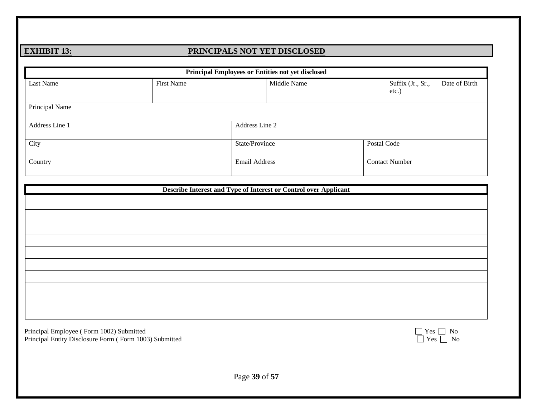### **EXHIBIT 13: PRINCIPALS NOT YET DISCLOSED**

|                                                                                                    |                   | Principal Employees or Entities not yet disclosed                |             |             |                            |                            |
|----------------------------------------------------------------------------------------------------|-------------------|------------------------------------------------------------------|-------------|-------------|----------------------------|----------------------------|
| Last Name                                                                                          | <b>First Name</b> |                                                                  | Middle Name |             | Suffix (Jr., Sr.,<br>etc.) | Date of Birth              |
| Principal Name                                                                                     |                   |                                                                  |             |             |                            |                            |
| Address Line 1                                                                                     |                   | Address Line 2                                                   |             |             |                            |                            |
| City                                                                                               |                   | State/Province                                                   |             | Postal Code |                            |                            |
| Country                                                                                            |                   | <b>Email Address</b>                                             |             |             | <b>Contact Number</b>      |                            |
|                                                                                                    |                   | Describe Interest and Type of Interest or Control over Applicant |             |             |                            |                            |
|                                                                                                    |                   |                                                                  |             |             |                            |                            |
|                                                                                                    |                   |                                                                  |             |             |                            |                            |
|                                                                                                    |                   |                                                                  |             |             |                            |                            |
|                                                                                                    |                   |                                                                  |             |             |                            |                            |
|                                                                                                    |                   |                                                                  |             |             |                            |                            |
|                                                                                                    |                   |                                                                  |             |             |                            |                            |
|                                                                                                    |                   |                                                                  |             |             |                            |                            |
|                                                                                                    |                   |                                                                  |             |             |                            |                            |
| Principal Employee (Form 1002) Submitted<br>Principal Entity Disclosure Form (Form 1003) Submitted |                   |                                                                  |             |             | $\Box$ Yes $\Box$          | $\Box$ Yes $\Box$ No<br>No |
|                                                                                                    |                   |                                                                  |             |             |                            |                            |
|                                                                                                    |                   |                                                                  |             |             |                            |                            |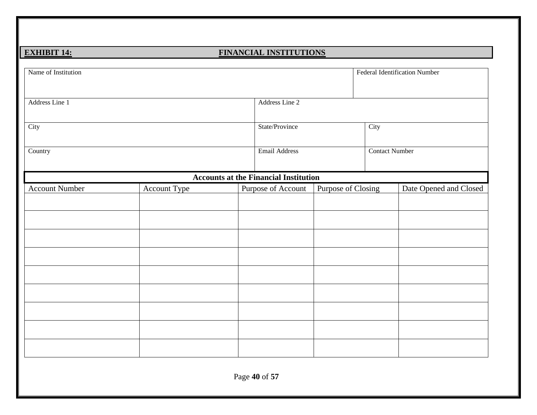#### **EXHIBIT 14: FINANCIAL INSTITUTIONS**

| Name of Institution   |              |  |                                              |                    |      | <b>Federal Identification Number</b> |  |
|-----------------------|--------------|--|----------------------------------------------|--------------------|------|--------------------------------------|--|
| Address Line 1        |              |  | Address Line 2                               |                    |      |                                      |  |
| City                  |              |  | State/Province                               |                    | City |                                      |  |
| Country               |              |  | <b>Email Address</b>                         |                    |      | <b>Contact Number</b>                |  |
|                       |              |  | <b>Accounts at the Financial Institution</b> |                    |      |                                      |  |
| <b>Account Number</b> | Account Type |  | Purpose of Account                           | Purpose of Closing |      | Date Opened and Closed               |  |
|                       |              |  |                                              |                    |      |                                      |  |
|                       |              |  |                                              |                    |      |                                      |  |
|                       |              |  |                                              |                    |      |                                      |  |
|                       |              |  |                                              |                    |      |                                      |  |
|                       |              |  |                                              |                    |      |                                      |  |
|                       |              |  |                                              |                    |      |                                      |  |
|                       |              |  |                                              |                    |      |                                      |  |
|                       |              |  |                                              |                    |      |                                      |  |
|                       |              |  |                                              |                    |      |                                      |  |
|                       |              |  |                                              |                    |      |                                      |  |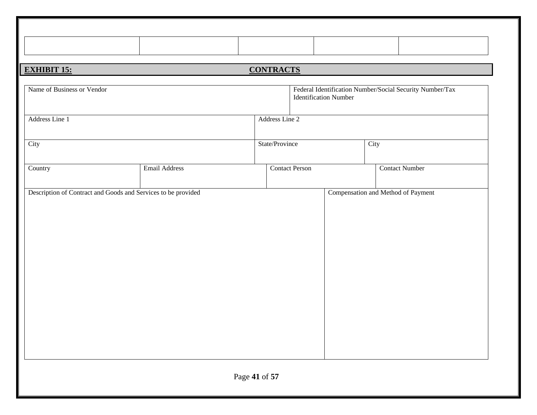| <b>EXHIBIT 15:</b>                                            | <b>CONTRACTS</b>      |                              |                                                          |  |
|---------------------------------------------------------------|-----------------------|------------------------------|----------------------------------------------------------|--|
| Name of Business or Vendor                                    |                       | <b>Identification Number</b> | Federal Identification Number/Social Security Number/Tax |  |
| Address Line 1                                                | Address Line 2        |                              |                                                          |  |
| City                                                          | State/Province        |                              | City                                                     |  |
| <b>Email Address</b><br>Country                               | <b>Contact Person</b> |                              | <b>Contact Number</b>                                    |  |
| Description of Contract and Goods and Services to be provided |                       |                              | Compensation and Method of Payment                       |  |
|                                                               | Page 41 of 57         |                              |                                                          |  |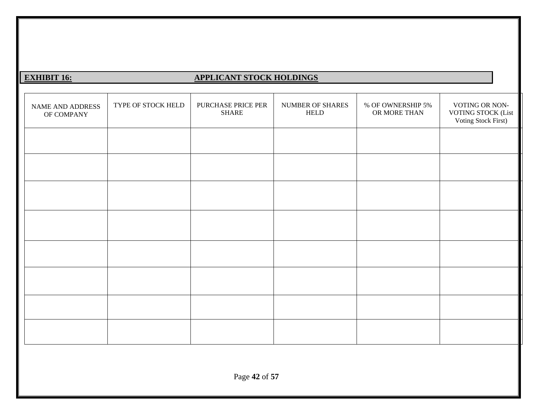### **EXHIBIT 16: APPLICANT STOCK HOLDINGS**

| NAME AND ADDRESS<br>OF COMPANY | TYPE OF STOCK HELD | PURCHASE PRICE PER<br><b>SHARE</b> | NUMBER OF SHARES<br><b>HELD</b> | % OF OWNERSHIP 5%<br>OR MORE THAN | VOTING OR NON-<br><b>VOTING STOCK (List</b><br>Voting Stock First) |
|--------------------------------|--------------------|------------------------------------|---------------------------------|-----------------------------------|--------------------------------------------------------------------|
|                                |                    |                                    |                                 |                                   |                                                                    |
|                                |                    |                                    |                                 |                                   |                                                                    |
|                                |                    |                                    |                                 |                                   |                                                                    |
|                                |                    |                                    |                                 |                                   |                                                                    |
|                                |                    |                                    |                                 |                                   |                                                                    |
|                                |                    |                                    |                                 |                                   |                                                                    |
|                                |                    |                                    |                                 |                                   |                                                                    |
|                                |                    |                                    |                                 |                                   |                                                                    |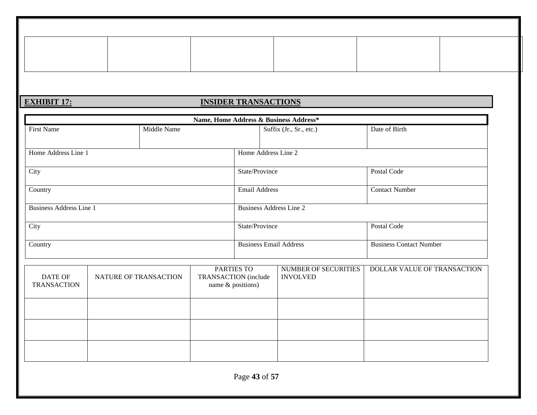### **EXHIBIT 17: INSIDER TRANSACTIONS**

|                                |                     |                      | Name, Home Address & Business Address* |                                |
|--------------------------------|---------------------|----------------------|----------------------------------------|--------------------------------|
| <b>First Name</b>              | Middle Name         |                      | Suffix (Jr., Sr., etc.)                | Date of Birth                  |
|                                |                     |                      |                                        |                                |
| Home Address Line 1            | Home Address Line 2 |                      |                                        |                                |
| City                           |                     | State/Province       |                                        | Postal Code                    |
| Country                        |                     | <b>Email Address</b> |                                        | <b>Contact Number</b>          |
| <b>Business Address Line 1</b> |                     |                      | Business Address Line 2                |                                |
| City                           |                     | State/Province       |                                        | Postal Code                    |
| Country                        |                     |                      | <b>Business Email Address</b>          | <b>Business Contact Number</b> |

| DATE OF<br><b>TRANSACTION</b> | NATURE OF TRANSACTION | PARTIES TO<br>TRANSACTION (include<br>name $\&$ positions) | NUMBER OF SECURITIES<br><b>INVOLVED</b> | DOLLAR VALUE OF TRANSACTION |
|-------------------------------|-----------------------|------------------------------------------------------------|-----------------------------------------|-----------------------------|
|                               |                       |                                                            |                                         |                             |
|                               |                       |                                                            |                                         |                             |
|                               |                       |                                                            |                                         |                             |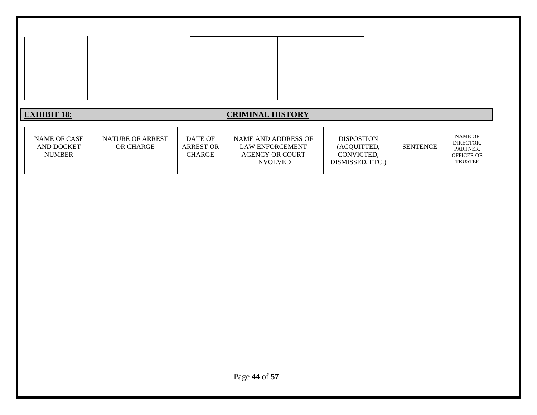| <b>EXHIBIT 18:</b><br><b>CRIMINAL HISTORY</b><br>NAME OF<br>NAME OF CASE<br>NATURE OF ARREST<br>DATE OF<br>NAME AND ADDRESS OF<br><b>DISPOSITON</b><br>DIRECTOR,<br><b>ARREST OR</b><br>AND DOCKET<br>OR CHARGE<br><b>LAW ENFORCEMENT</b><br>(ACQUITTED,<br><b>SENTENCE</b><br>PARTNER, |
|-----------------------------------------------------------------------------------------------------------------------------------------------------------------------------------------------------------------------------------------------------------------------------------------|
|                                                                                                                                                                                                                                                                                         |
| <b>CHARGE</b><br>CONVICTED,<br><b>NUMBER</b><br><b>AGENCY OR COURT</b><br>OFFICER OR<br><b>TRUSTEE</b><br>DISMISSED, ETC.)<br><b>INVOLVED</b>                                                                                                                                           |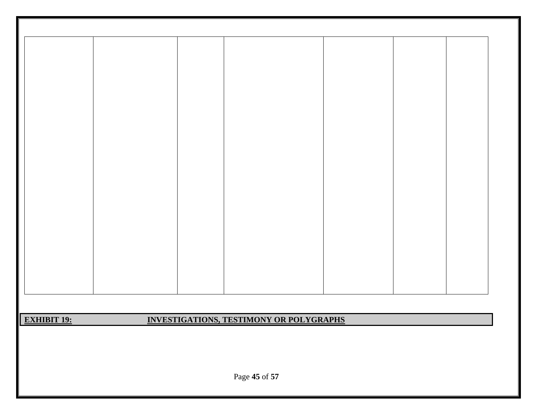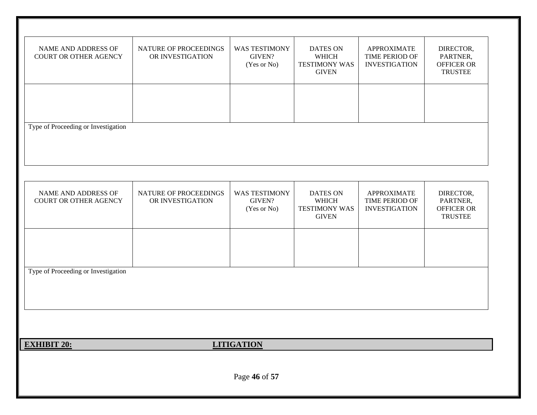| NAME AND ADDRESS OF<br>COURT OR OTHER AGENCY | NATURE OF PROCEEDINGS<br>OR INVESTIGATION | <b>WAS TESTIMONY</b><br>GIVEN?<br>(Yes or No) | <b>DATES ON</b><br>WHICH<br><b>TESTIMONY WAS</b><br><b>GIVEN</b> | <b>APPROXIMATE</b><br>TIME PERIOD OF<br><b>INVESTIGATION</b> | DIRECTOR,<br>PARTNER,<br>OFFICER OR<br><b>TRUSTEE</b> |
|----------------------------------------------|-------------------------------------------|-----------------------------------------------|------------------------------------------------------------------|--------------------------------------------------------------|-------------------------------------------------------|
| Type of Proceeding or Investigation          |                                           |                                               |                                                                  |                                                              |                                                       |
| NAME AND ADDRESS OF<br>COURT OR OTHER AGENCY | NATURE OF PROCEEDINGS<br>OR INVESTIGATION | <b>WAS TESTIMONY</b><br>GIVEN?<br>(Yes or No) | <b>DATES ON</b><br>WHICH<br><b>TESTIMONY WAS</b><br><b>GIVEN</b> | <b>APPROXIMATE</b><br>TIME PERIOD OF<br><b>INVESTIGATION</b> | DIRECTOR,<br>PARTNER,<br>OFFICER OR<br><b>TRUSTEE</b> |
| Type of Proceeding or Investigation          |                                           |                                               |                                                                  |                                                              |                                                       |
| <b>EXHIBIT 20:</b>                           |                                           | <b>LITIGATION</b>                             |                                                                  |                                                              |                                                       |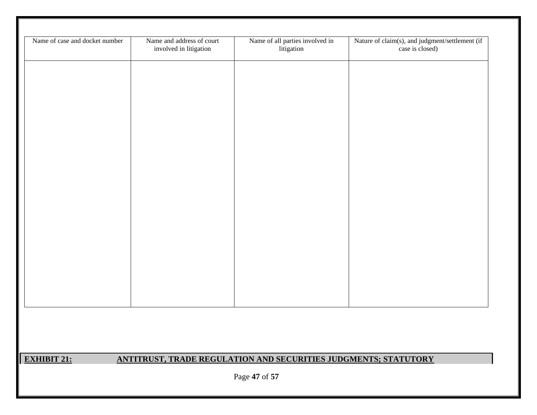| Name of case and docket number | Name and address of court<br>involved in litigation | Name of all parties involved in<br>litigation                          | Nature of claim(s), and judgment/settlement (if<br>case is closed) |
|--------------------------------|-----------------------------------------------------|------------------------------------------------------------------------|--------------------------------------------------------------------|
|                                |                                                     |                                                                        |                                                                    |
|                                |                                                     |                                                                        |                                                                    |
|                                |                                                     |                                                                        |                                                                    |
|                                |                                                     |                                                                        |                                                                    |
|                                |                                                     |                                                                        |                                                                    |
|                                |                                                     |                                                                        |                                                                    |
|                                |                                                     |                                                                        |                                                                    |
|                                |                                                     |                                                                        |                                                                    |
|                                |                                                     |                                                                        |                                                                    |
|                                |                                                     |                                                                        |                                                                    |
|                                |                                                     |                                                                        |                                                                    |
|                                |                                                     |                                                                        |                                                                    |
|                                |                                                     |                                                                        |                                                                    |
|                                |                                                     |                                                                        |                                                                    |
|                                |                                                     |                                                                        |                                                                    |
|                                |                                                     |                                                                        |                                                                    |
|                                |                                                     |                                                                        |                                                                    |
| <b>EXHIBIT 21:</b>             |                                                     | <b>ANTITRUST, TRADE REGULATION AND SECURITIES JUDGMENTS; STATUTORY</b> |                                                                    |
|                                |                                                     | Page 47 of 57                                                          |                                                                    |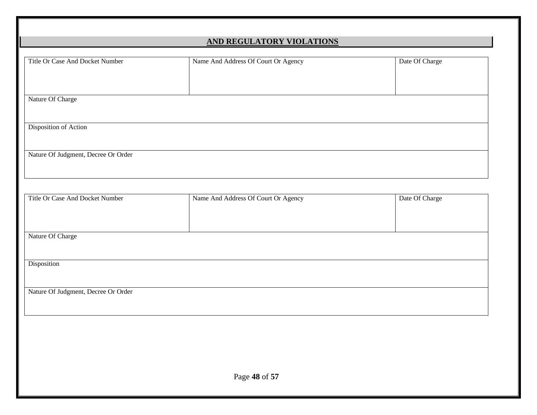| Title Or Case And Docket Number     | Name And Address Of Court Or Agency | Date Of Charge |
|-------------------------------------|-------------------------------------|----------------|
|                                     |                                     |                |
| Nature Of Charge                    |                                     |                |
|                                     |                                     |                |
| Disposition of Action               |                                     |                |
|                                     |                                     |                |
| Nature Of Judgment, Decree Or Order |                                     |                |
|                                     |                                     |                |
|                                     |                                     |                |
| Title Or Case And Docket Number     | Name And Address Of Court Or Agency | Date Of Charge |
|                                     |                                     |                |
| Nature Of Charge                    |                                     |                |
|                                     |                                     |                |
| Disposition                         |                                     |                |
|                                     |                                     |                |
| Nature Of Judgment, Decree Or Order |                                     |                |
|                                     |                                     |                |
|                                     |                                     |                |
|                                     |                                     |                |
|                                     |                                     |                |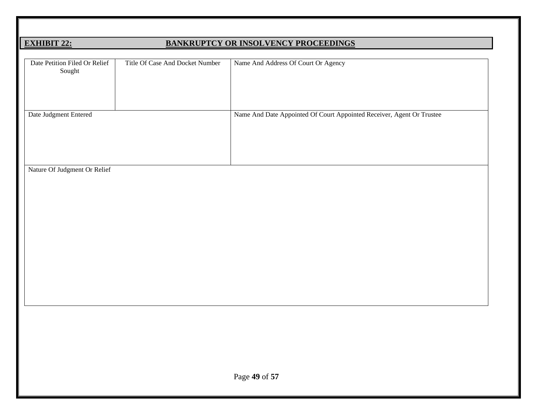### **EXHIBIT 22: BANKRUPTCY OR INSOLVENCY PROCEEDINGS**

| Date Petition Filed Or Relief<br>Sought | Title Of Case And Docket Number | Name And Address Of Court Or Agency                                   |
|-----------------------------------------|---------------------------------|-----------------------------------------------------------------------|
| Date Judgment Entered                   |                                 | Name And Date Appointed Of Court Appointed Receiver, Agent Or Trustee |
| Nature Of Judgment Or Relief            |                                 |                                                                       |
|                                         |                                 | Page 49 of 57                                                         |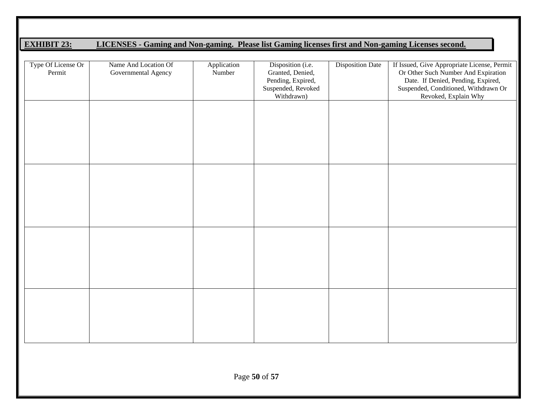### **EXHIBIT 23: LICENSES - Gaming and Non-gaming. Please list Gaming licenses first and Non-gaming Licenses second.**

| Type Of License Or<br>Permit | Name And Location Of<br>Governmental Agency | Application<br>Number | Disposition (i.e.<br>Granted, Denied,<br>Pending, Expired,<br>Suspended, Revoked<br>Withdrawn) | <b>Disposition Date</b> | If Issued, Give Appropriate License, Permit<br>Or Other Such Number And Expiration<br>Date. If Denied, Pending, Expired,<br>Suspended, Conditioned, Withdrawn Or<br>Revoked, Explain Why |
|------------------------------|---------------------------------------------|-----------------------|------------------------------------------------------------------------------------------------|-------------------------|------------------------------------------------------------------------------------------------------------------------------------------------------------------------------------------|
|                              |                                             |                       |                                                                                                |                         |                                                                                                                                                                                          |
|                              |                                             |                       |                                                                                                |                         |                                                                                                                                                                                          |
|                              |                                             |                       |                                                                                                |                         |                                                                                                                                                                                          |
|                              |                                             |                       |                                                                                                |                         |                                                                                                                                                                                          |
|                              |                                             |                       |                                                                                                |                         |                                                                                                                                                                                          |
|                              |                                             |                       |                                                                                                |                         |                                                                                                                                                                                          |
|                              |                                             |                       |                                                                                                |                         |                                                                                                                                                                                          |
|                              |                                             |                       |                                                                                                |                         |                                                                                                                                                                                          |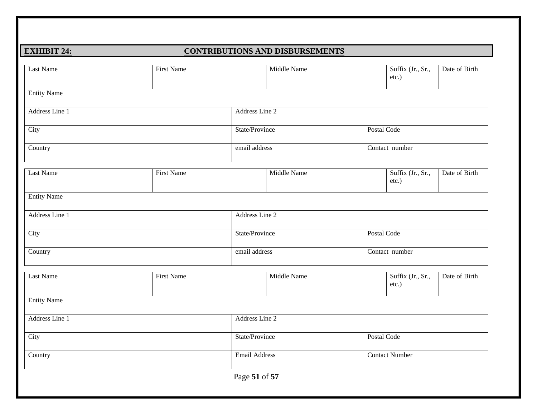#### **EXHIBIT 24: CONTRIBUTIONS AND DISBURSEMENTS**

| <b>Last Name</b>   | <b>First Name</b> |                      | Middle Name    |  | Suffix (Jr., Sr.,<br>etc.) | Date of Birth |  |
|--------------------|-------------------|----------------------|----------------|--|----------------------------|---------------|--|
| <b>Entity Name</b> |                   |                      |                |  |                            |               |  |
| Address Line 1     |                   |                      | Address Line 2 |  |                            |               |  |
| City               |                   |                      | State/Province |  | Postal Code                |               |  |
| Country            |                   |                      | email address  |  | Contact number             |               |  |
| Last Name          | <b>First Name</b> |                      | Middle Name    |  | Suffix (Jr., Sr.,<br>etc.) | Date of Birth |  |
| <b>Entity Name</b> |                   |                      |                |  |                            |               |  |
| Address Line 1     |                   |                      | Address Line 2 |  |                            |               |  |
| City               |                   |                      | State/Province |  | Postal Code                |               |  |
| Country            |                   |                      | email address  |  | Contact number             |               |  |
| <b>Last Name</b>   | <b>First Name</b> |                      | Middle Name    |  | Suffix (Jr., Sr.,<br>etc.) | Date of Birth |  |
| <b>Entity Name</b> |                   |                      |                |  |                            |               |  |
| Address Line 1     |                   |                      | Address Line 2 |  |                            |               |  |
| City               |                   |                      | State/Province |  | Postal Code                |               |  |
| Country            |                   | <b>Email Address</b> |                |  | <b>Contact Number</b>      |               |  |
|                    |                   | Page 51 of 57        |                |  |                            |               |  |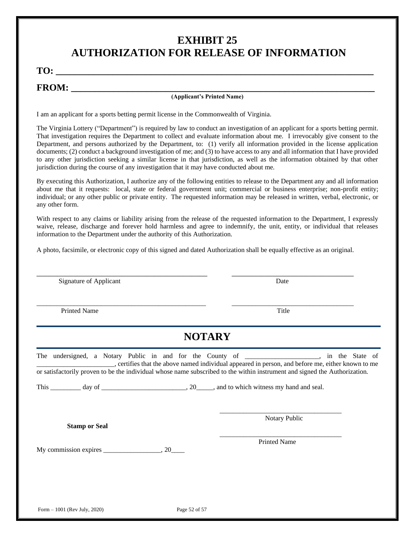### **EXHIBIT 25 AUTHORIZATION FOR RELEASE OF INFORMATION**

**TO: \_\_\_\_\_\_\_\_\_\_\_\_\_\_\_\_\_\_\_\_\_\_\_\_\_\_\_\_\_\_\_\_\_\_\_\_\_\_\_\_\_\_\_\_\_\_\_\_\_\_\_\_\_\_\_\_\_\_\_\_\_\_\_\_\_\_\_**

**FROM: \_\_\_\_\_\_\_\_\_\_\_\_\_\_\_\_\_\_\_\_\_\_\_\_\_\_\_\_\_\_\_\_\_\_\_\_\_\_\_\_\_\_\_\_\_\_\_\_\_\_\_\_\_\_\_\_\_\_\_\_\_\_\_\_**

#### **(Applicant's Printed Name)**

I am an applicant for a sports betting permit license in the Commonwealth of Virginia.

The Virginia Lottery ("Department") is required by law to conduct an investigation of an applicant for a sports betting permit. That investigation requires the Department to collect and evaluate information about me. I irrevocably give consent to the Department, and persons authorized by the Department, to: (1) verify all information provided in the license application documents; (2) conduct a background investigation of me; and (3) to have access to any and all information that I have provided to any other jurisdiction seeking a similar license in that jurisdiction, as well as the information obtained by that other jurisdiction during the course of any investigation that it may have conducted about me.

By executing this Authorization, I authorize any of the following entities to release to the Department any and all information about me that it requests: local, state or federal government unit; commercial or business enterprise; non-profit entity; individual; or any other public or private entity. The requested information may be released in written, verbal, electronic, or any other form.

With respect to any claims or liability arising from the release of the requested information to the Department, I expressly waive, release, discharge and forever hold harmless and agree to indemnify, the unit, entity, or individual that releases information to the Department under the authority of this Authorization.

A photo, facsimile, or electronic copy of this signed and dated Authorization shall be equally effective as an original.

| Signature of Applicant                                                                                                                                                                                                     | Date                                                                                            |
|----------------------------------------------------------------------------------------------------------------------------------------------------------------------------------------------------------------------------|-------------------------------------------------------------------------------------------------|
| <b>Printed Name</b>                                                                                                                                                                                                        | Title                                                                                           |
| <b>NOTARY</b>                                                                                                                                                                                                              |                                                                                                 |
| The undersigned, a Notary Public in and for the County of _________________, in the State of<br>or satisfactorily proven to be the individual whose name subscribed to the within instrument and signed the Authorization. | certifies that the above named individual appeared in person, and before me, either known to me |
| <b>Stamp or Seal</b>                                                                                                                                                                                                       | Notary Public                                                                                   |
|                                                                                                                                                                                                                            | <b>Printed Name</b>                                                                             |
|                                                                                                                                                                                                                            |                                                                                                 |
|                                                                                                                                                                                                                            |                                                                                                 |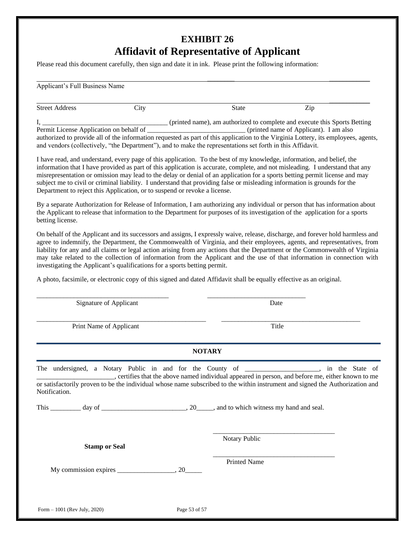### **EXHIBIT 26 Affidavit of Representative of Applicant**

Please read this document carefully, then sign and date it in ink. Please print the following information:

| Applicant's Full Business Name                                                    |      |                                                                                                                                    |     |  |
|-----------------------------------------------------------------------------------|------|------------------------------------------------------------------------------------------------------------------------------------|-----|--|
| <b>Street Address</b>                                                             | City | State                                                                                                                              | Zip |  |
|                                                                                   |      | (printed name), am authorized to complete and execute this Sports Betting                                                          |     |  |
| (printed name of Applicant). I am also<br>Permit License Application on behalf of |      |                                                                                                                                    |     |  |
|                                                                                   |      | authorized to provide all of the information requested as part of this application to the Virginia Lottery, its employees, agents, |     |  |
|                                                                                   |      | and vendors (collectively, "the Department"), and to make the representations set forth in this Affidavit.                         |     |  |

I have read, and understand, every page of this application. To the best of my knowledge, information, and belief, the information that I have provided as part of this application is accurate, complete, and not misleading. I understand that any misrepresentation or omission may lead to the delay or denial of an application for a sports betting permit license and may subject me to civil or criminal liability. I understand that providing false or misleading information is grounds for the Department to reject this Application, or to suspend or revoke a license.

By a separate Authorization for Release of Information, I am authorizing any individual or person that has information about the Applicant to release that information to the Department for purposes of its investigation of the application for a sports betting license.

On behalf of the Applicant and its successors and assigns, I expressly waive, release, discharge, and forever hold harmless and agree to indemnify, the Department, the Commonwealth of Virginia, and their employees, agents, and representatives, from liability for any and all claims or legal action arising from any actions that the Department or the Commonwealth of Virginia may take related to the collection of information from the Applicant and the use of that information in connection with investigating the Applicant's qualifications for a sports betting permit.

A photo, facsimile, or electronic copy of this signed and dated Affidavit shall be equally effective as an original.

| Signature of Applicant  | Date                                                                                                                                                                                                                                                                                                                           |
|-------------------------|--------------------------------------------------------------------------------------------------------------------------------------------------------------------------------------------------------------------------------------------------------------------------------------------------------------------------------|
| Print Name of Applicant | Title                                                                                                                                                                                                                                                                                                                          |
|                         | <b>NOTARY</b>                                                                                                                                                                                                                                                                                                                  |
| Notification.           | The undersigned, a Notary Public in and for the County of ________________, in the State of<br>ertifies that the above named individual appeared in person, and before me, either known to me<br>or satisfactorily proven to be the individual whose name subscribed to the within instrument and signed the Authorization and |
|                         |                                                                                                                                                                                                                                                                                                                                |
| <b>Stamp or Seal</b>    | Notary Public                                                                                                                                                                                                                                                                                                                  |
|                         | <b>Printed Name</b>                                                                                                                                                                                                                                                                                                            |
|                         |                                                                                                                                                                                                                                                                                                                                |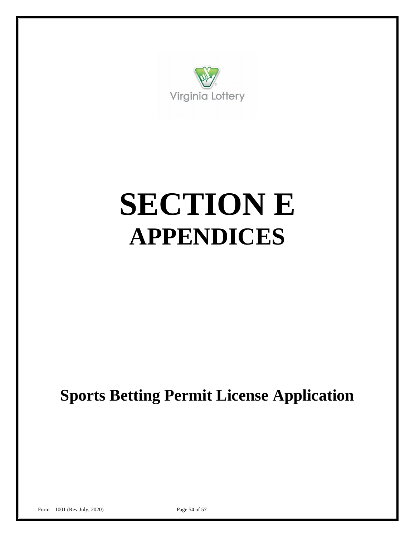

## **SECTION E APPENDICES**

**Sports Betting Permit License Application**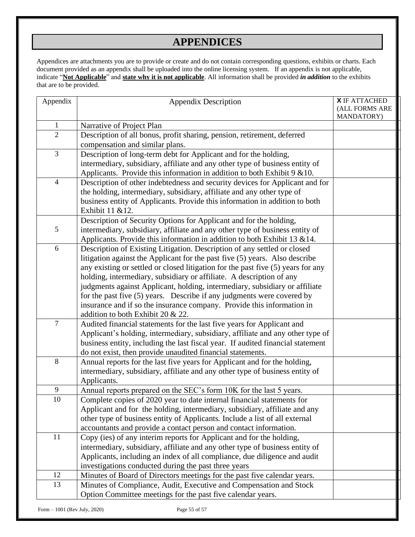### **APPENDICES**

Appendices are attachments you are to provide or create and do not contain corresponding questions, exhibits or charts. Each document provided as an appendix shall be uploaded into the online licensing system. If an appendix is not applicable, indicate "**Not Applicable**" and **state why it is not applicable**. All information shall be provided *in addition* to the exhibits that are to be provided.

| Appendix         | <b>Appendix Description</b>                                                                                                                         | <b>X</b> IF ATTACHED<br>(ALL FORMS ARE<br>MANDATORY) |
|------------------|-----------------------------------------------------------------------------------------------------------------------------------------------------|------------------------------------------------------|
| $\mathbf{1}$     | Narrative of Project Plan                                                                                                                           |                                                      |
| $\overline{2}$   | Description of all bonus, profit sharing, pension, retirement, deferred                                                                             |                                                      |
|                  | compensation and similar plans.                                                                                                                     |                                                      |
| 3                | Description of long-term debt for Applicant and for the holding,                                                                                    |                                                      |
|                  | intermediary, subsidiary, affiliate and any other type of business entity of                                                                        |                                                      |
|                  | Applicants. Provide this information in addition to both Exhibit 9 & 10.                                                                            |                                                      |
| $\overline{4}$   | Description of other indebtedness and security devices for Applicant and for                                                                        |                                                      |
|                  | the holding, intermediary, subsidiary, affiliate and any other type of                                                                              |                                                      |
|                  | business entity of Applicants. Provide this information in addition to both                                                                         |                                                      |
|                  | Exhibit 11 & 12.                                                                                                                                    |                                                      |
|                  | Description of Security Options for Applicant and for the holding,                                                                                  |                                                      |
| $\mathfrak{S}$   | intermediary, subsidiary, affiliate and any other type of business entity of                                                                        |                                                      |
|                  | Applicants. Provide this information in addition to both Exhibit 13 & 14.                                                                           |                                                      |
| 6                | Description of Existing Litigation. Description of any settled or closed                                                                            |                                                      |
|                  | litigation against the Applicant for the past five (5) years. Also describe                                                                         |                                                      |
|                  | any existing or settled or closed litigation for the past five (5) years for any                                                                    |                                                      |
|                  | holding, intermediary, subsidiary or affiliate. A description of any<br>judgments against Applicant, holding, intermediary, subsidiary or affiliate |                                                      |
|                  | for the past five (5) years. Describe if any judgments were covered by                                                                              |                                                      |
|                  | insurance and if so the insurance company. Provide this information in                                                                              |                                                      |
|                  | addition to both Exhibit 20 & 22.                                                                                                                   |                                                      |
| $\boldsymbol{7}$ | Audited financial statements for the last five years for Applicant and                                                                              |                                                      |
|                  | Applicant's holding, intermediary, subsidiary, affiliate and any other type of                                                                      |                                                      |
|                  | business entity, including the last fiscal year. If audited financial statement                                                                     |                                                      |
|                  | do not exist, then provide unaudited financial statements.                                                                                          |                                                      |
| 8                | Annual reports for the last five years for Applicant and for the holding,                                                                           |                                                      |
|                  | intermediary, subsidiary, affiliate and any other type of business entity of                                                                        |                                                      |
|                  | Applicants.                                                                                                                                         |                                                      |
| 9                | Annual reports prepared on the SEC's form 10K for the last 5 years.                                                                                 |                                                      |
| 10               | Complete copies of 2020 year to date internal financial statements for                                                                              |                                                      |
|                  | Applicant and for the holding, intermediary, subsidiary, affiliate and any                                                                          |                                                      |
|                  | other type of business entity of Applicants. Include a list of all external                                                                         |                                                      |
|                  | accountants and provide a contact person and contact information.                                                                                   |                                                      |
| 11               | Copy (ies) of any interim reports for Applicant and for the holding,                                                                                |                                                      |
|                  | intermediary, subsidiary, affiliate and any other type of business entity of                                                                        |                                                      |
|                  | Applicants, including an index of all compliance, due diligence and audit                                                                           |                                                      |
|                  | investigations conducted during the past three years                                                                                                |                                                      |
| 12               | Minutes of Board of Directors meetings for the past five calendar years.                                                                            |                                                      |
| 13               | Minutes of Compliance, Audit, Executive and Compensation and Stock                                                                                  |                                                      |
|                  | Option Committee meetings for the past five calendar years.                                                                                         |                                                      |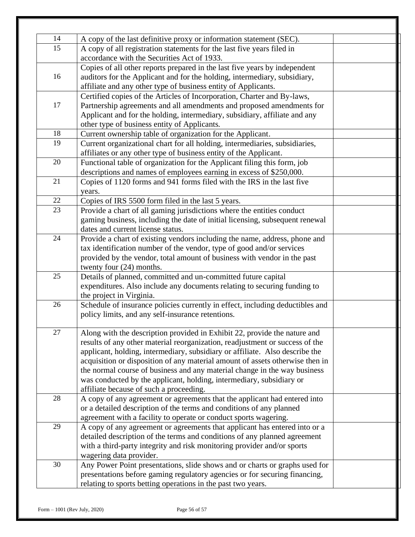| 14 | A copy of the last definitive proxy or information statement (SEC).           |  |
|----|-------------------------------------------------------------------------------|--|
| 15 | A copy of all registration statements for the last five years filed in        |  |
|    | accordance with the Securities Act of 1933.                                   |  |
|    | Copies of all other reports prepared in the last five years by independent    |  |
| 16 | auditors for the Applicant and for the holding, intermediary, subsidiary,     |  |
|    | affiliate and any other type of business entity of Applicants.                |  |
|    | Certified copies of the Articles of Incorporation, Charter and By-laws,       |  |
| 17 | Partnership agreements and all amendments and proposed amendments for         |  |
|    | Applicant and for the holding, intermediary, subsidiary, affiliate and any    |  |
|    | other type of business entity of Applicants.                                  |  |
| 18 | Current ownership table of organization for the Applicant.                    |  |
| 19 | Current organizational chart for all holding, intermediaries, subsidiaries,   |  |
|    | affiliates or any other type of business entity of the Applicant.             |  |
| 20 | Functional table of organization for the Applicant filing this form, job      |  |
|    | descriptions and names of employees earning in excess of \$250,000.           |  |
| 21 | Copies of 1120 forms and 941 forms filed with the IRS in the last five        |  |
|    | years.                                                                        |  |
| 22 | Copies of IRS 5500 form filed in the last 5 years.                            |  |
| 23 | Provide a chart of all gaming jurisdictions where the entities conduct        |  |
|    | gaming business, including the date of initial licensing, subsequent renewal  |  |
|    | dates and current license status.                                             |  |
| 24 | Provide a chart of existing vendors including the name, address, phone and    |  |
|    | tax identification number of the vendor, type of good and/or services         |  |
|    | provided by the vendor, total amount of business with vendor in the past      |  |
|    | twenty four $(24)$ months.                                                    |  |
| 25 | Details of planned, committed and un-committed future capital                 |  |
|    | expenditures. Also include any documents relating to securing funding to      |  |
|    | the project in Virginia.                                                      |  |
| 26 | Schedule of insurance policies currently in effect, including deductibles and |  |
|    | policy limits, and any self-insurance retentions.                             |  |
| 27 | Along with the description provided in Exhibit 22, provide the nature and     |  |
|    | results of any other material reorganization, readjustment or success of the  |  |
|    | applicant, holding, intermediary, subsidiary or affiliate. Also describe the  |  |
|    | acquisition or disposition of any material amount of assets otherwise then in |  |
|    | the normal course of business and any material change in the way business     |  |
|    | was conducted by the applicant, holding, intermediary, subsidiary or          |  |
|    | affiliate because of such a proceeding.                                       |  |
| 28 | A copy of any agreement or agreements that the applicant had entered into     |  |
|    | or a detailed description of the terms and conditions of any planned          |  |
|    | agreement with a facility to operate or conduct sports wagering.              |  |
| 29 | A copy of any agreement or agreements that applicant has entered into or a    |  |
|    | detailed description of the terms and conditions of any planned agreement     |  |
|    | with a third-party integrity and risk monitoring provider and/or sports       |  |
|    | wagering data provider.                                                       |  |
| 30 | Any Power Point presentations, slide shows and or charts or graphs used for   |  |
|    | presentations before gaming regulatory agencies or for securing financing,    |  |
|    | relating to sports betting operations in the past two years.                  |  |